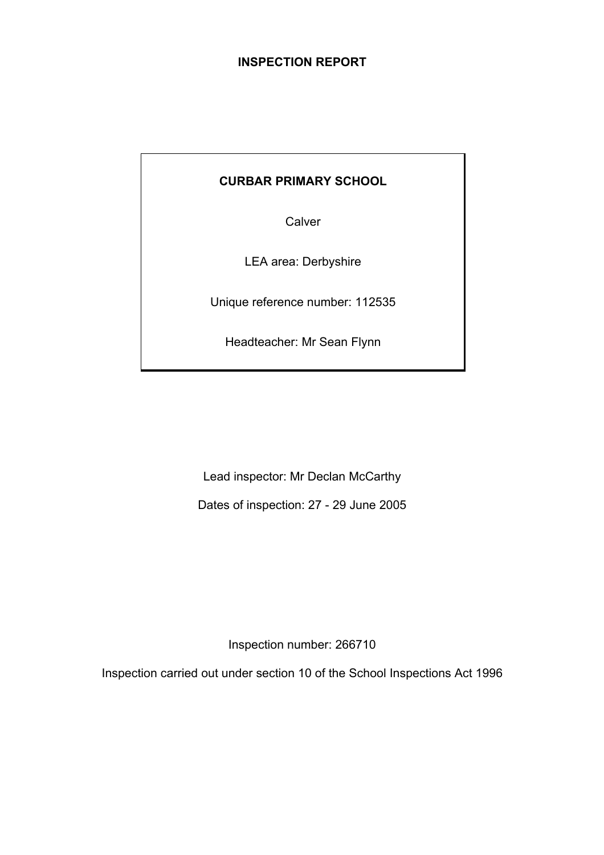## **INSPECTION REPORT**

# **CURBAR PRIMARY SCHOOL**

**Calver** 

LEA area: Derbyshire

Unique reference number: 112535

Headteacher: Mr Sean Flynn

Lead inspector: Mr Declan McCarthy

Dates of inspection: 27 - 29 June 2005

Inspection number: 266710

Inspection carried out under section 10 of the School Inspections Act 1996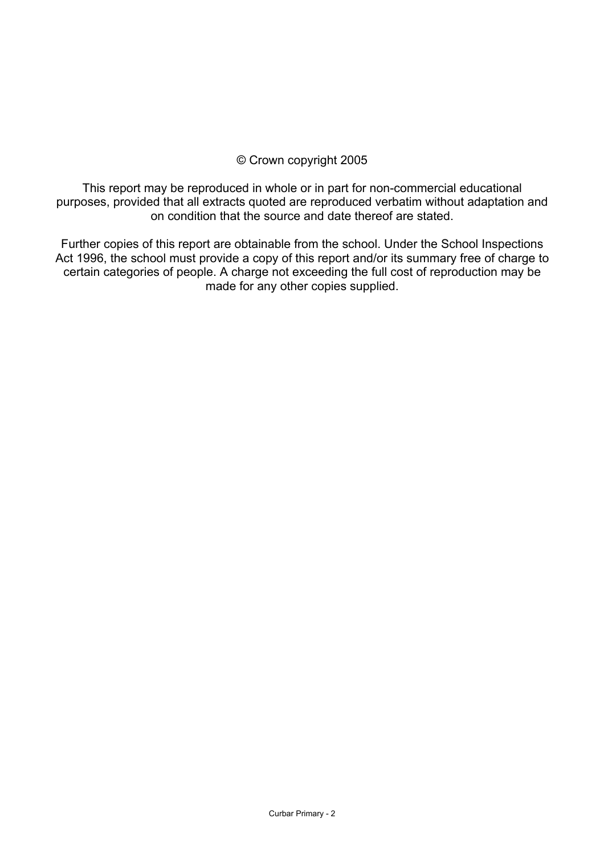## © Crown copyright 2005

This report may be reproduced in whole or in part for non-commercial educational purposes, provided that all extracts quoted are reproduced verbatim without adaptation and on condition that the source and date thereof are stated.

Further copies of this report are obtainable from the school. Under the School Inspections Act 1996, the school must provide a copy of this report and/or its summary free of charge to certain categories of people. A charge not exceeding the full cost of reproduction may be made for any other copies supplied.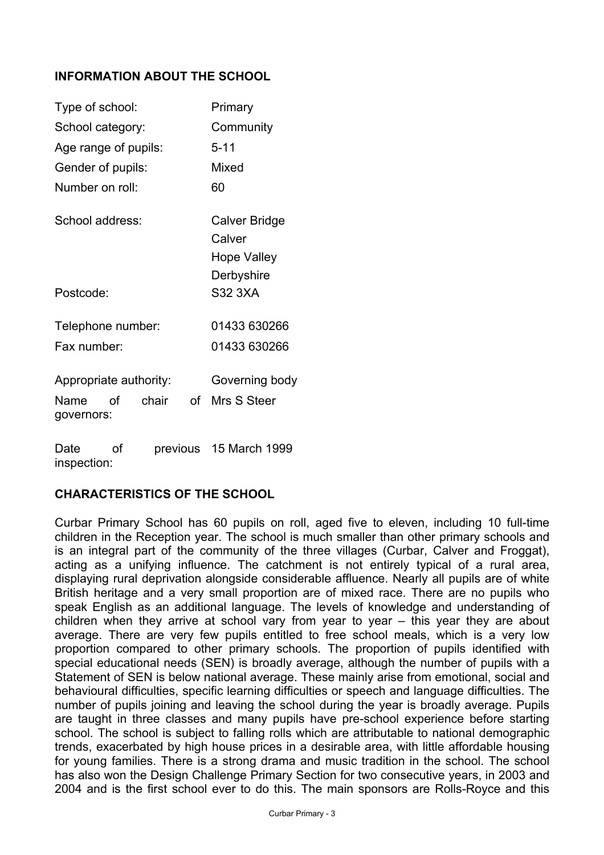# **INFORMATION ABOUT THE SCHOOL**

| Type of school:        |    | Primary   |    |                        |
|------------------------|----|-----------|----|------------------------|
| School category:       |    | Community |    |                        |
| Age range of pupils:   |    |           |    | $5 - 11$               |
| Gender of pupils:      |    |           |    | Mixed                  |
| Number on roll:        |    |           |    | 60                     |
| School address:        |    |           |    | Calver Bridge          |
|                        |    |           |    | Calver                 |
|                        |    |           |    | <b>Hope Valley</b>     |
|                        |    |           |    | Derbyshire             |
| Postcode:              |    |           |    | S32 3XA                |
| Telephone number:      |    |           |    | 01433 630266           |
| Fax number:            |    |           |    | 01433 630266           |
| Appropriate authority: |    |           |    | Governing body         |
| Name<br>governors:     | ∩f | chair     | of | Mrs S Steer            |
| Date                   | οf |           |    | previous 15 March 1999 |

## **CHARACTERISTICS OF THE SCHOOL**

inspection:

Curbar Primary School has 60 pupils on roll, aged five to eleven, including 10 full-time children in the Reception year. The school is much smaller than other primary schools and is an integral part of the community of the three villages (Curbar, Calver and Froggat), acting as a unifying influence. The catchment is not entirely typical of a rural area, displaying rural deprivation alongside considerable affluence. Nearly all pupils are of white British heritage and a very small proportion are of mixed race. There are no pupils who speak English as an additional language. The levels of knowledge and understanding of children when they arrive at school vary from year to year  $-$  this year they are about average. There are very few pupils entitled to free school meals, which is a very low proportion compared to other primary schools. The proportion of pupils identified with special educational needs (SEN) is broadly average, although the number of pupils with a Statement of SEN is below national average. These mainly arise from emotional, social and behavioural difficulties, specific learning difficulties or speech and language difficulties. The number of pupils joining and leaving the school during the year is broadly average. Pupils are taught in three classes and many pupils have pre-school experience before starting school. The school is subject to falling rolls which are attributable to national demographic trends, exacerbated by high house prices in a desirable area, with little affordable housing for young families. There is a strong drama and music tradition in the school. The school has also won the Design Challenge Primary Section for two consecutive years, in 2003 and 2004 and is the first school ever to do this. The main sponsors are Rolls-Royce and this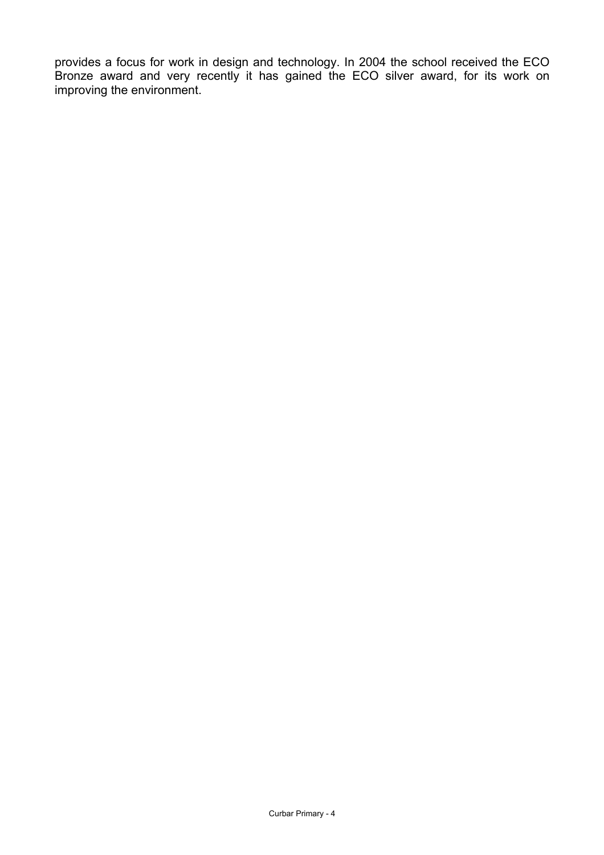provides a focus for work in design and technology. In 2004 the school received the ECO Bronze award and very recently it has gained the ECO silver award, for its work on improving the environment.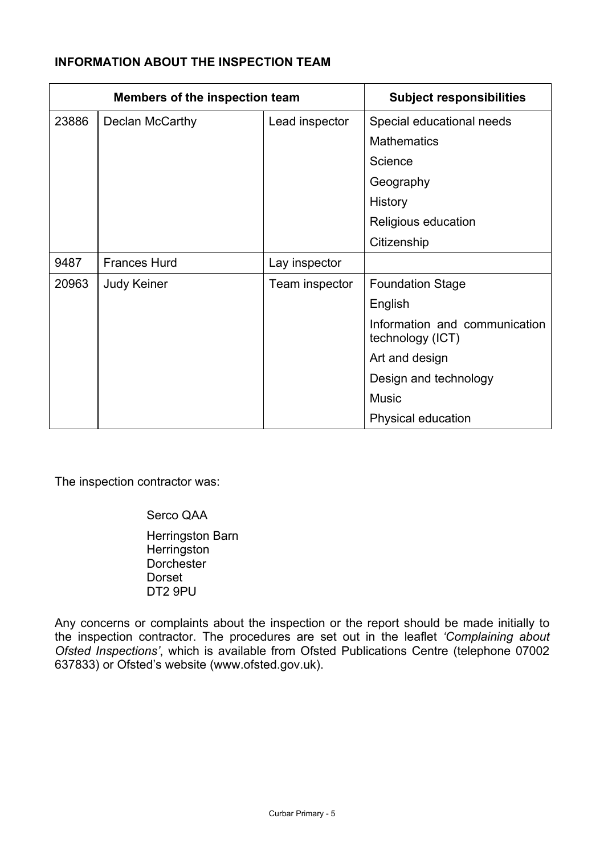# **INFORMATION ABOUT THE INSPECTION TEAM**

| <b>Members of the inspection team</b> |                                   |                | <b>Subject responsibilities</b>                   |
|---------------------------------------|-----------------------------------|----------------|---------------------------------------------------|
| 23886                                 | Declan McCarthy<br>Lead inspector |                | Special educational needs                         |
|                                       |                                   |                | <b>Mathematics</b>                                |
|                                       |                                   |                | Science                                           |
|                                       |                                   |                | Geography                                         |
|                                       |                                   |                | <b>History</b>                                    |
|                                       |                                   |                | Religious education                               |
|                                       |                                   |                | Citizenship                                       |
| 9487                                  | <b>Frances Hurd</b>               | Lay inspector  |                                                   |
| 20963                                 | <b>Judy Keiner</b>                | Team inspector | <b>Foundation Stage</b>                           |
|                                       |                                   |                | English                                           |
|                                       |                                   |                | Information and communication<br>technology (ICT) |
|                                       |                                   |                | Art and design                                    |
|                                       |                                   |                | Design and technology                             |
|                                       |                                   |                | <b>Music</b>                                      |
|                                       |                                   |                | Physical education                                |

The inspection contractor was:

Serco QAA

 Herringston Barn **Herringston Dorchester**  Dorset DT2 9PU

Any concerns or complaints about the inspection or the report should be made initially to the inspection contractor. The procedures are set out in the leaflet *'Complaining about Ofsted Inspections'*, which is available from Ofsted Publications Centre (telephone 07002 637833) or Ofsted's website (www.ofsted.gov.uk).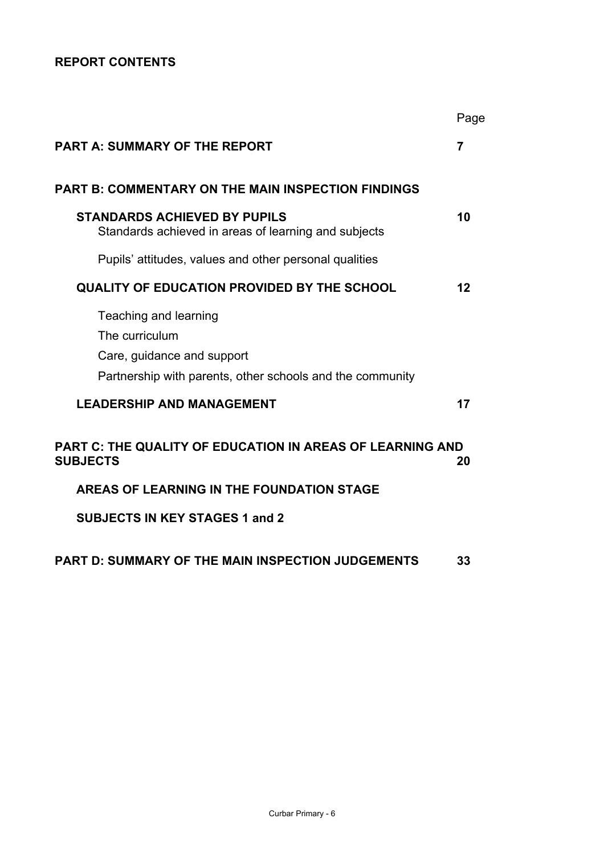# **REPORT CONTENTS**

|                                                                                                                                    | Page           |
|------------------------------------------------------------------------------------------------------------------------------------|----------------|
| <b>PART A: SUMMARY OF THE REPORT</b>                                                                                               | $\overline{7}$ |
| <b>PART B: COMMENTARY ON THE MAIN INSPECTION FINDINGS</b>                                                                          |                |
| <b>STANDARDS ACHIEVED BY PUPILS</b><br>Standards achieved in areas of learning and subjects                                        | 10             |
| Pupils' attitudes, values and other personal qualities                                                                             |                |
| <b>QUALITY OF EDUCATION PROVIDED BY THE SCHOOL</b>                                                                                 | 12             |
| Teaching and learning<br>The curriculum<br>Care, guidance and support<br>Partnership with parents, other schools and the community |                |
| <b>LEADERSHIP AND MANAGEMENT</b>                                                                                                   | 17             |
| <b>PART C: THE QUALITY OF EDUCATION IN AREAS OF LEARNING AND</b><br><b>SUBJECTS</b>                                                | 20             |
| AREAS OF LEARNING IN THE FOUNDATION STAGE                                                                                          |                |
| <b>SUBJECTS IN KEY STAGES 1 and 2</b>                                                                                              |                |
| <b>PART D: SUMMARY OF THE MAIN INSPECTION JUDGEMENTS</b>                                                                           | 33             |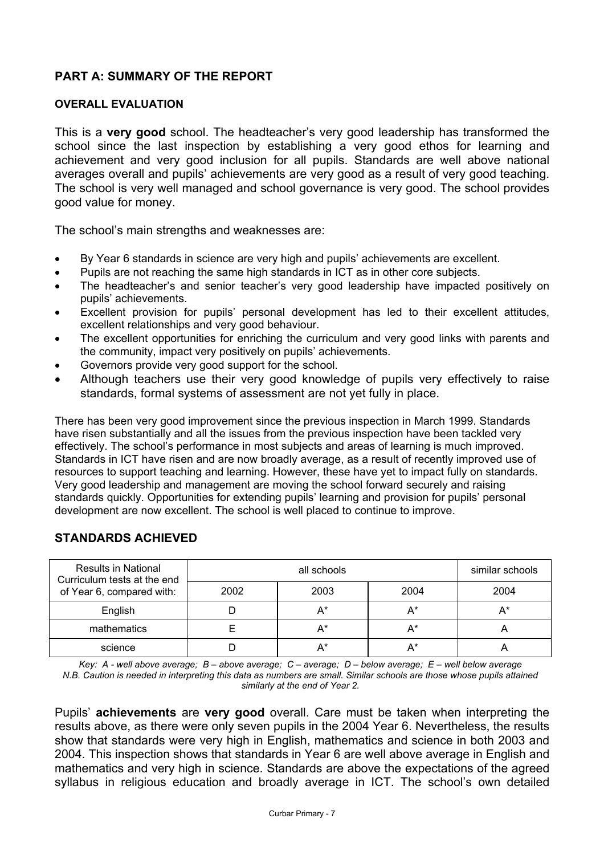# **PART A: SUMMARY OF THE REPORT**

### **OVERALL EVALUATION**

This is a **very good** school. The headteacher's very good leadership has transformed the school since the last inspection by establishing a very good ethos for learning and achievement and very good inclusion for all pupils. Standards are well above national averages overall and pupils' achievements are very good as a result of very good teaching. The school is very well managed and school governance is very good. The school provides good value for money.

The school's main strengths and weaknesses are:

- By Year 6 standards in science are very high and pupils' achievements are excellent.
- Pupils are not reaching the same high standards in ICT as in other core subjects.
- The headteacher's and senior teacher's very good leadership have impacted positively on pupils' achievements.
- Excellent provision for pupils' personal development has led to their excellent attitudes, excellent relationships and very good behaviour.
- The excellent opportunities for enriching the curriculum and very good links with parents and the community, impact very positively on pupils' achievements.
- Governors provide very good support for the school.
- Although teachers use their very good knowledge of pupils very effectively to raise standards, formal systems of assessment are not yet fully in place.

There has been very good improvement since the previous inspection in March 1999. Standards have risen substantially and all the issues from the previous inspection have been tackled very effectively. The school's performance in most subjects and areas of learning is much improved. Standards in ICT have risen and are now broadly average, as a result of recently improved use of resources to support teaching and learning. However, these have yet to impact fully on standards. Very good leadership and management are moving the school forward securely and raising standards quickly. Opportunities for extending pupils' learning and provision for pupils' personal development are now excellent. The school is well placed to continue to improve.

| <b>Results in National</b><br>Curriculum tests at the end<br>of Year 6, compared with: |      | similar schools |       |      |
|----------------------------------------------------------------------------------------|------|-----------------|-------|------|
|                                                                                        | 2002 | 2003            | 2004  | 2004 |
| English                                                                                |      | A*              | $A^*$ | A*   |
| mathematics                                                                            |      | A*              | $A^*$ |      |
| science                                                                                |      | A*              | A*    |      |

## **STANDARDS ACHIEVED**

*Key: A - well above average; B – above average; C – average; D – below average; E – well below average N.B. Caution is needed in interpreting this data as numbers are small. Similar schools are those whose pupils attained similarly at the end of Year 2.* 

Pupils' **achievements** are **very good** overall. Care must be taken when interpreting the results above, as there were only seven pupils in the 2004 Year 6. Nevertheless, the results show that standards were very high in English, mathematics and science in both 2003 and 2004. This inspection shows that standards in Year 6 are well above average in English and mathematics and very high in science. Standards are above the expectations of the agreed syllabus in religious education and broadly average in ICT. The school's own detailed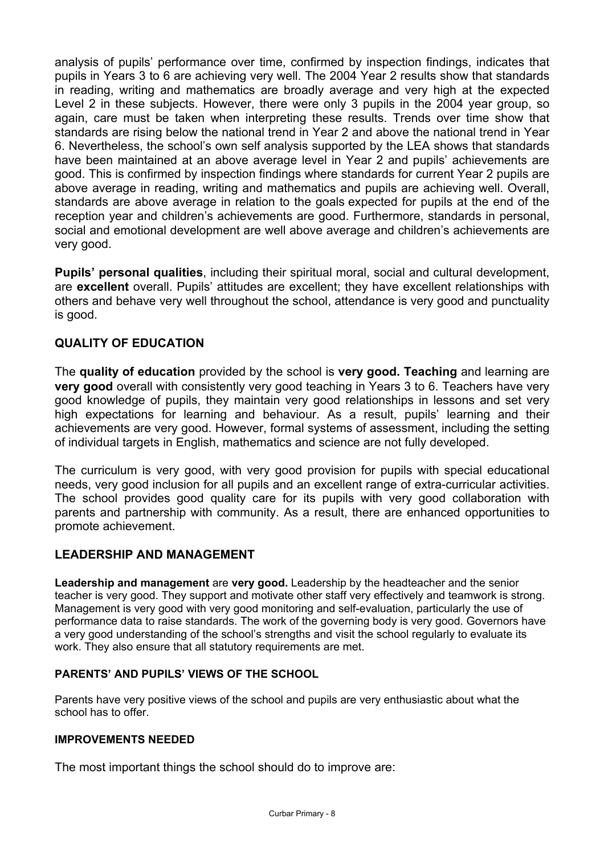analysis of pupils' performance over time, confirmed by inspection findings, indicates that pupils in Years 3 to 6 are achieving very well. The 2004 Year 2 results show that standards in reading, writing and mathematics are broadly average and very high at the expected Level 2 in these subjects. However, there were only 3 pupils in the 2004 year group, so again, care must be taken when interpreting these results. Trends over time show that standards are rising below the national trend in Year 2 and above the national trend in Year 6. Nevertheless, the school's own self analysis supported by the LEA shows that standards have been maintained at an above average level in Year 2 and pupils' achievements are good. This is confirmed by inspection findings where standards for current Year 2 pupils are above average in reading, writing and mathematics and pupils are achieving well. Overall, standards are above average in relation to the goals expected for pupils at the end of the reception year and children's achievements are good. Furthermore, standards in personal, social and emotional development are well above average and children's achievements are very good.

**Pupils' personal qualities**, including their spiritual moral, social and cultural development, are **excellent** overall. Pupils' attitudes are excellent; they have excellent relationships with others and behave very well throughout the school, attendance is very good and punctuality is good.

## **QUALITY OF EDUCATION**

The **quality of education** provided by the school is **very good. Teaching** and learning are **very good** overall with consistently very good teaching in Years 3 to 6. Teachers have very good knowledge of pupils, they maintain very good relationships in lessons and set very high expectations for learning and behaviour. As a result, pupils' learning and their achievements are very good. However, formal systems of assessment, including the setting of individual targets in English, mathematics and science are not fully developed.

The curriculum is very good, with very good provision for pupils with special educational needs, very good inclusion for all pupils and an excellent range of extra-curricular activities. The school provides good quality care for its pupils with very good collaboration with parents and partnership with community. As a result, there are enhanced opportunities to promote achievement.

## **LEADERSHIP AND MANAGEMENT**

**Leadership and management** are **very good.** Leadership by the headteacher and the senior teacher is very good. They support and motivate other staff very effectively and teamwork is strong. Management is very good with very good monitoring and self-evaluation, particularly the use of performance data to raise standards. The work of the governing body is very good. Governors have a very good understanding of the school's strengths and visit the school regularly to evaluate its work. They also ensure that all statutory requirements are met.

## **PARENTS' AND PUPILS' VIEWS OF THE SCHOOL**

Parents have very positive views of the school and pupils are very enthusiastic about what the school has to offer.

#### **IMPROVEMENTS NEEDED**

The most important things the school should do to improve are: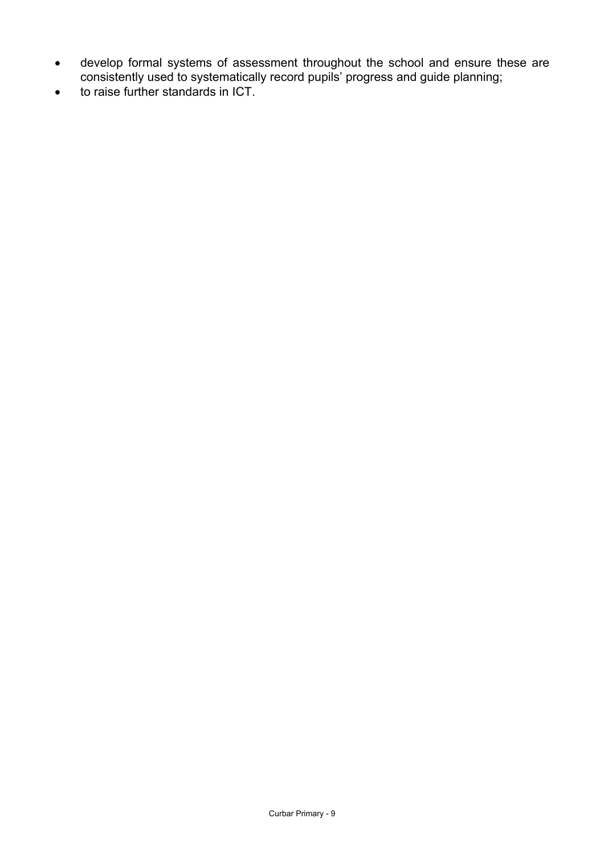- develop formal systems of assessment throughout the school and ensure these are consistently used to systematically record pupils' progress and guide planning;
- to raise further standards in ICT.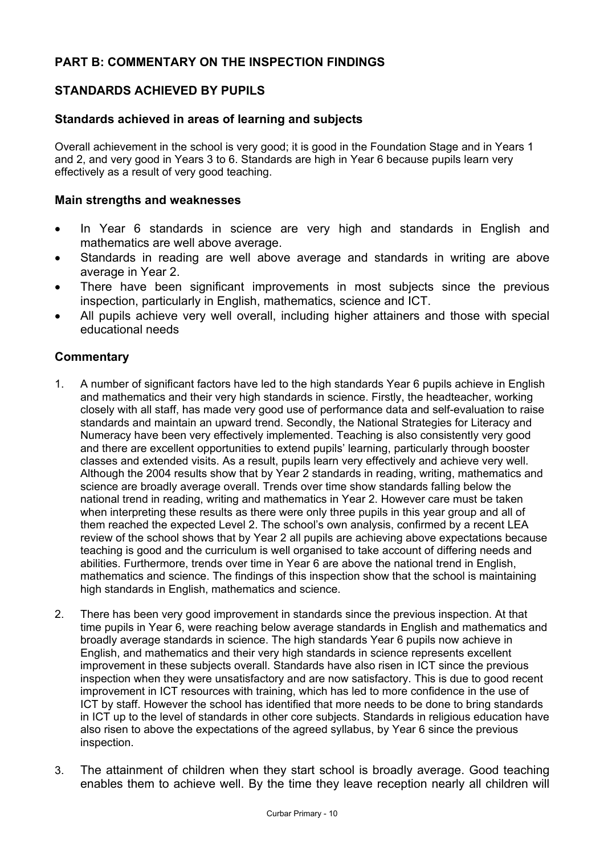## **PART B: COMMENTARY ON THE INSPECTION FINDINGS**

## **STANDARDS ACHIEVED BY PUPILS**

### **Standards achieved in areas of learning and subjects**

Overall achievement in the school is very good; it is good in the Foundation Stage and in Years 1 and 2, and very good in Years 3 to 6. Standards are high in Year 6 because pupils learn very effectively as a result of very good teaching.

#### **Main strengths and weaknesses**

- In Year 6 standards in science are very high and standards in English and mathematics are well above average.
- Standards in reading are well above average and standards in writing are above average in Year 2.
- There have been significant improvements in most subjects since the previous inspection, particularly in English, mathematics, science and ICT.
- All pupils achieve very well overall, including higher attainers and those with special educational needs

#### **Commentary**

- 1. A number of significant factors have led to the high standards Year 6 pupils achieve in English and mathematics and their very high standards in science. Firstly, the headteacher, working closely with all staff, has made very good use of performance data and self-evaluation to raise standards and maintain an upward trend. Secondly, the National Strategies for Literacy and Numeracy have been very effectively implemented. Teaching is also consistently very good and there are excellent opportunities to extend pupils' learning, particularly through booster classes and extended visits. As a result, pupils learn very effectively and achieve very well. Although the 2004 results show that by Year 2 standards in reading, writing, mathematics and science are broadly average overall. Trends over time show standards falling below the national trend in reading, writing and mathematics in Year 2. However care must be taken when interpreting these results as there were only three pupils in this year group and all of them reached the expected Level 2. The school's own analysis, confirmed by a recent LEA review of the school shows that by Year 2 all pupils are achieving above expectations because teaching is good and the curriculum is well organised to take account of differing needs and abilities. Furthermore, trends over time in Year 6 are above the national trend in English, mathematics and science. The findings of this inspection show that the school is maintaining high standards in English, mathematics and science.
- 2. There has been very good improvement in standards since the previous inspection. At that time pupils in Year 6, were reaching below average standards in English and mathematics and broadly average standards in science. The high standards Year 6 pupils now achieve in English, and mathematics and their very high standards in science represents excellent improvement in these subjects overall. Standards have also risen in ICT since the previous inspection when they were unsatisfactory and are now satisfactory. This is due to good recent improvement in ICT resources with training, which has led to more confidence in the use of ICT by staff. However the school has identified that more needs to be done to bring standards in ICT up to the level of standards in other core subjects. Standards in religious education have also risen to above the expectations of the agreed syllabus, by Year 6 since the previous inspection.
- 3. The attainment of children when they start school is broadly average. Good teaching enables them to achieve well. By the time they leave reception nearly all children will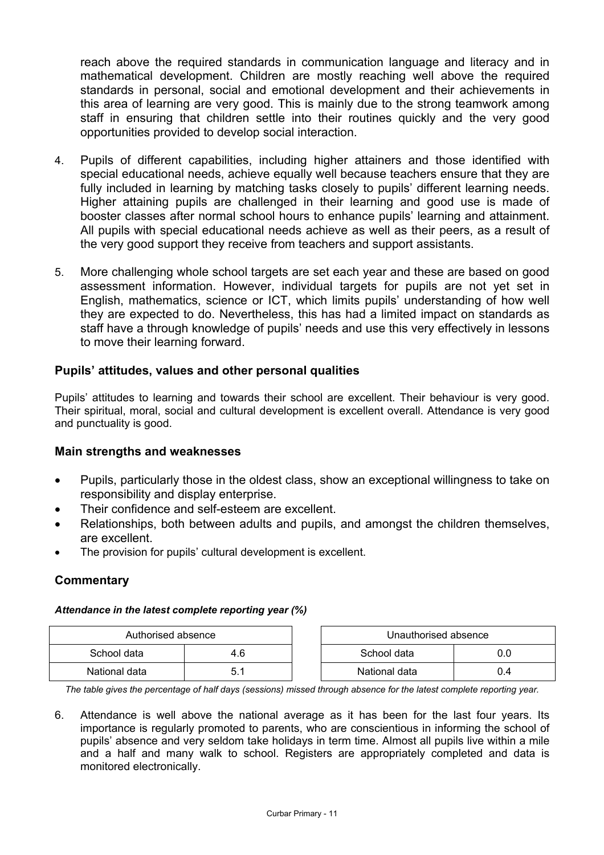reach above the required standards in communication language and literacy and in mathematical development. Children are mostly reaching well above the required standards in personal, social and emotional development and their achievements in this area of learning are very good. This is mainly due to the strong teamwork among staff in ensuring that children settle into their routines quickly and the very good opportunities provided to develop social interaction.

- 4. Pupils of different capabilities, including higher attainers and those identified with special educational needs, achieve equally well because teachers ensure that they are fully included in learning by matching tasks closely to pupils' different learning needs. Higher attaining pupils are challenged in their learning and good use is made of booster classes after normal school hours to enhance pupils' learning and attainment. All pupils with special educational needs achieve as well as their peers, as a result of the very good support they receive from teachers and support assistants.
- 5. More challenging whole school targets are set each year and these are based on good assessment information. However, individual targets for pupils are not yet set in English, mathematics, science or ICT, which limits pupils' understanding of how well they are expected to do. Nevertheless, this has had a limited impact on standards as staff have a through knowledge of pupils' needs and use this very effectively in lessons to move their learning forward.

## **Pupils' attitudes, values and other personal qualities**

Pupils' attitudes to learning and towards their school are excellent. Their behaviour is very good. Their spiritual, moral, social and cultural development is excellent overall. Attendance is very good and punctuality is good.

## **Main strengths and weaknesses**

- Pupils, particularly those in the oldest class, show an exceptional willingness to take on responsibility and display enterprise.
- Their confidence and self-esteem are excellent.
- Relationships, both between adults and pupils, and amongst the children themselves, are excellent.
- The provision for pupils' cultural development is excellent.

## **Commentary**

#### *Attendance in the latest complete reporting year (%)*

| Authorised absence |     |  | Unauthorised absence |     |
|--------------------|-----|--|----------------------|-----|
| School data        | 4.6 |  | School data          |     |
| National data      |     |  | National data        | 0.4 |

*The table gives the percentage of half days (sessions) missed through absence for the latest complete reporting year.*

6. Attendance is well above the national average as it has been for the last four years. Its importance is regularly promoted to parents, who are conscientious in informing the school of pupils' absence and very seldom take holidays in term time. Almost all pupils live within a mile and a half and many walk to school. Registers are appropriately completed and data is monitored electronically.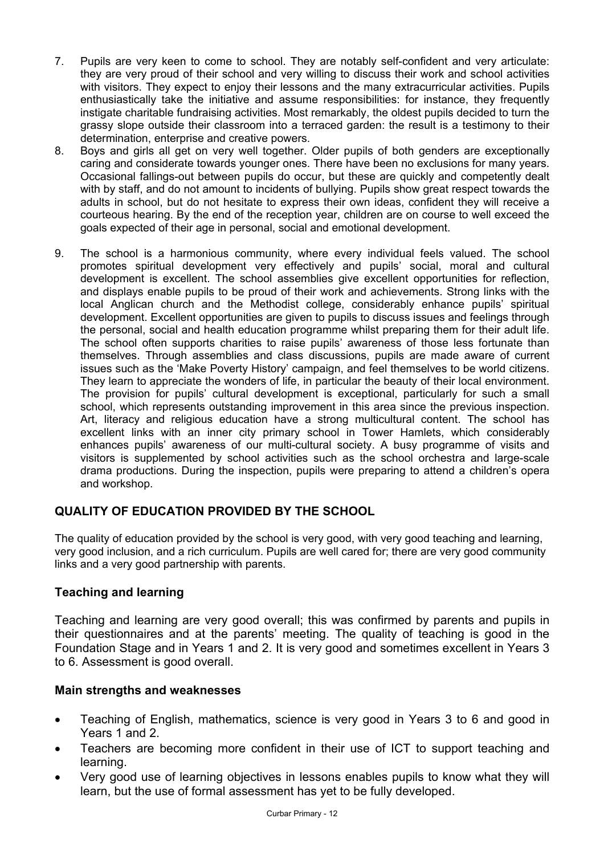- 7. Pupils are very keen to come to school. They are notably self-confident and very articulate: they are very proud of their school and very willing to discuss their work and school activities with visitors. They expect to enjoy their lessons and the many extracurricular activities. Pupils enthusiastically take the initiative and assume responsibilities: for instance, they frequently instigate charitable fundraising activities. Most remarkably, the oldest pupils decided to turn the grassy slope outside their classroom into a terraced garden: the result is a testimony to their determination, enterprise and creative powers.
- 8. Boys and girls all get on very well together. Older pupils of both genders are exceptionally caring and considerate towards younger ones. There have been no exclusions for many years. Occasional fallings-out between pupils do occur, but these are quickly and competently dealt with by staff, and do not amount to incidents of bullying. Pupils show great respect towards the adults in school, but do not hesitate to express their own ideas, confident they will receive a courteous hearing. By the end of the reception year, children are on course to well exceed the goals expected of their age in personal, social and emotional development.
- 9. The school is a harmonious community, where every individual feels valued. The school promotes spiritual development very effectively and pupils' social, moral and cultural development is excellent. The school assemblies give excellent opportunities for reflection, and displays enable pupils to be proud of their work and achievements. Strong links with the local Anglican church and the Methodist college, considerably enhance pupils' spiritual development. Excellent opportunities are given to pupils to discuss issues and feelings through the personal, social and health education programme whilst preparing them for their adult life. The school often supports charities to raise pupils' awareness of those less fortunate than themselves. Through assemblies and class discussions, pupils are made aware of current issues such as the 'Make Poverty History' campaign, and feel themselves to be world citizens. They learn to appreciate the wonders of life, in particular the beauty of their local environment. The provision for pupils' cultural development is exceptional, particularly for such a small school, which represents outstanding improvement in this area since the previous inspection. Art, literacy and religious education have a strong multicultural content. The school has excellent links with an inner city primary school in Tower Hamlets, which considerably enhances pupils' awareness of our multi-cultural society. A busy programme of visits and visitors is supplemented by school activities such as the school orchestra and large-scale drama productions. During the inspection, pupils were preparing to attend a children's opera and workshop.

# **QUALITY OF EDUCATION PROVIDED BY THE SCHOOL**

The quality of education provided by the school is very good, with very good teaching and learning, very good inclusion, and a rich curriculum. Pupils are well cared for; there are very good community links and a very good partnership with parents.

## **Teaching and learning**

Teaching and learning are very good overall; this was confirmed by parents and pupils in their questionnaires and at the parents' meeting. The quality of teaching is good in the Foundation Stage and in Years 1 and 2. It is very good and sometimes excellent in Years 3 to 6. Assessment is good overall.

## **Main strengths and weaknesses**

- Teaching of English, mathematics, science is very good in Years 3 to 6 and good in Years 1 and 2.
- Teachers are becoming more confident in their use of ICT to support teaching and learning.
- Very good use of learning objectives in lessons enables pupils to know what they will learn, but the use of formal assessment has yet to be fully developed.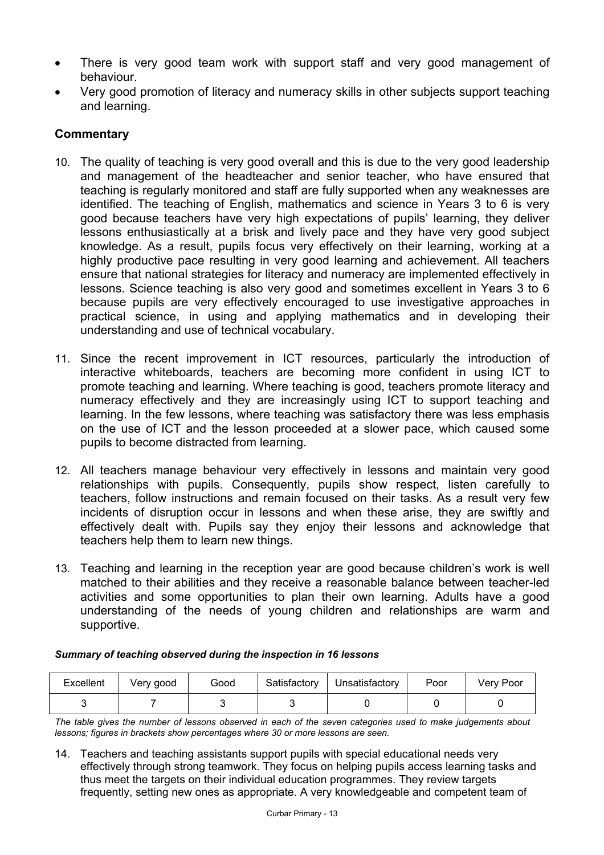- There is very good team work with support staff and very good management of behaviour.
- Very good promotion of literacy and numeracy skills in other subjects support teaching and learning.

## **Commentary**

- 10. The quality of teaching is very good overall and this is due to the very good leadership and management of the headteacher and senior teacher, who have ensured that teaching is regularly monitored and staff are fully supported when any weaknesses are identified. The teaching of English, mathematics and science in Years 3 to 6 is very good because teachers have very high expectations of pupils' learning, they deliver lessons enthusiastically at a brisk and lively pace and they have very good subject knowledge. As a result, pupils focus very effectively on their learning, working at a highly productive pace resulting in very good learning and achievement. All teachers ensure that national strategies for literacy and numeracy are implemented effectively in lessons. Science teaching is also very good and sometimes excellent in Years 3 to 6 because pupils are very effectively encouraged to use investigative approaches in practical science, in using and applying mathematics and in developing their understanding and use of technical vocabulary.
- 11. Since the recent improvement in ICT resources, particularly the introduction of interactive whiteboards, teachers are becoming more confident in using ICT to promote teaching and learning. Where teaching is good, teachers promote literacy and numeracy effectively and they are increasingly using ICT to support teaching and learning. In the few lessons, where teaching was satisfactory there was less emphasis on the use of ICT and the lesson proceeded at a slower pace, which caused some pupils to become distracted from learning.
- 12. All teachers manage behaviour very effectively in lessons and maintain very good relationships with pupils. Consequently, pupils show respect, listen carefully to teachers, follow instructions and remain focused on their tasks. As a result very few incidents of disruption occur in lessons and when these arise, they are swiftly and effectively dealt with. Pupils say they enjoy their lessons and acknowledge that teachers help them to learn new things.
- 13. Teaching and learning in the reception year are good because children's work is well matched to their abilities and they receive a reasonable balance between teacher-led activities and some opportunities to plan their own learning. Adults have a good understanding of the needs of young children and relationships are warm and supportive.

| <b>Excellent</b> | Very good | Good | Satisfactory | Unsatisfactory | Poor | Very Poor |
|------------------|-----------|------|--------------|----------------|------|-----------|
|                  |           |      |              |                |      |           |

*Summary of teaching observed during the inspection in 16 lessons*

*The table gives the number of lessons observed in each of the seven categories used to make judgements about lessons; figures in brackets show percentages where 30 or more lessons are seen.* 

14. Teachers and teaching assistants support pupils with special educational needs very effectively through strong teamwork. They focus on helping pupils access learning tasks and thus meet the targets on their individual education programmes. They review targets frequently, setting new ones as appropriate. A very knowledgeable and competent team of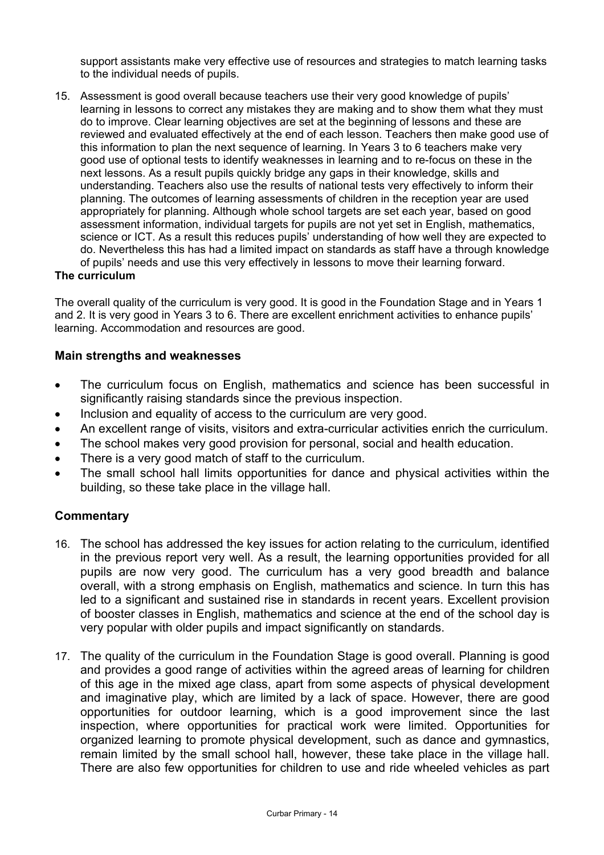support assistants make very effective use of resources and strategies to match learning tasks to the individual needs of pupils.

15. Assessment is good overall because teachers use their very good knowledge of pupils' learning in lessons to correct any mistakes they are making and to show them what they must do to improve. Clear learning objectives are set at the beginning of lessons and these are reviewed and evaluated effectively at the end of each lesson. Teachers then make good use of this information to plan the next sequence of learning. In Years 3 to 6 teachers make very good use of optional tests to identify weaknesses in learning and to re-focus on these in the next lessons. As a result pupils quickly bridge any gaps in their knowledge, skills and understanding. Teachers also use the results of national tests very effectively to inform their planning. The outcomes of learning assessments of children in the reception year are used appropriately for planning. Although whole school targets are set each year, based on good assessment information, individual targets for pupils are not yet set in English, mathematics, science or ICT. As a result this reduces pupils' understanding of how well they are expected to do. Nevertheless this has had a limited impact on standards as staff have a through knowledge of pupils' needs and use this very effectively in lessons to move their learning forward.

#### **The curriculum**

The overall quality of the curriculum is very good. It is good in the Foundation Stage and in Years 1 and 2. It is very good in Years 3 to 6. There are excellent enrichment activities to enhance pupils' learning. Accommodation and resources are good.

### **Main strengths and weaknesses**

- The curriculum focus on English, mathematics and science has been successful in significantly raising standards since the previous inspection.
- Inclusion and equality of access to the curriculum are very good.
- An excellent range of visits, visitors and extra-curricular activities enrich the curriculum.
- The school makes very good provision for personal, social and health education.
- There is a very good match of staff to the curriculum.
- The small school hall limits opportunities for dance and physical activities within the building, so these take place in the village hall.

## **Commentary**

- 16. The school has addressed the key issues for action relating to the curriculum, identified in the previous report very well. As a result, the learning opportunities provided for all pupils are now very good. The curriculum has a very good breadth and balance overall, with a strong emphasis on English, mathematics and science. In turn this has led to a significant and sustained rise in standards in recent years. Excellent provision of booster classes in English, mathematics and science at the end of the school day is very popular with older pupils and impact significantly on standards.
- 17. The quality of the curriculum in the Foundation Stage is good overall. Planning is good and provides a good range of activities within the agreed areas of learning for children of this age in the mixed age class, apart from some aspects of physical development and imaginative play, which are limited by a lack of space. However, there are good opportunities for outdoor learning, which is a good improvement since the last inspection, where opportunities for practical work were limited. Opportunities for organized learning to promote physical development, such as dance and gymnastics, remain limited by the small school hall, however, these take place in the village hall. There are also few opportunities for children to use and ride wheeled vehicles as part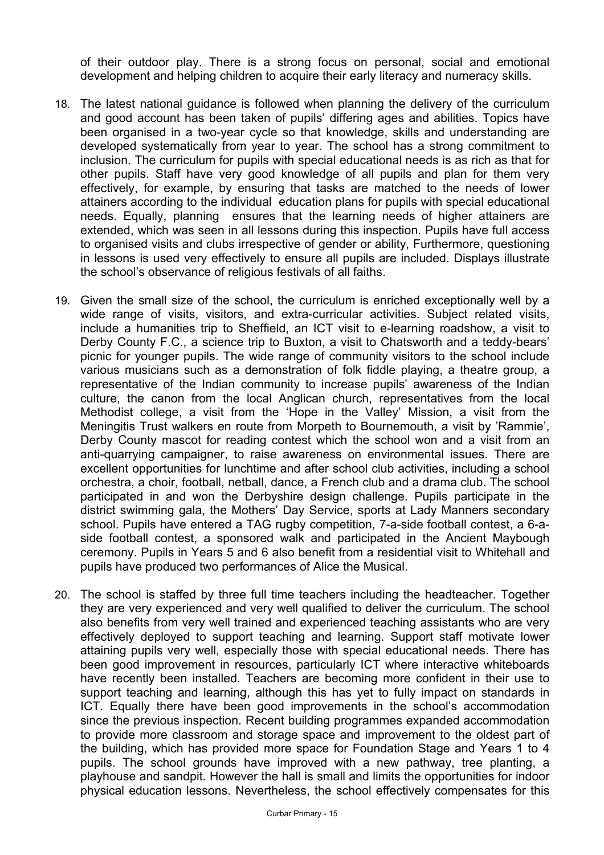of their outdoor play. There is a strong focus on personal, social and emotional development and helping children to acquire their early literacy and numeracy skills.

- 18. The latest national guidance is followed when planning the delivery of the curriculum and good account has been taken of pupils' differing ages and abilities. Topics have been organised in a two-year cycle so that knowledge, skills and understanding are developed systematically from year to year. The school has a strong commitment to inclusion. The curriculum for pupils with special educational needs is as rich as that for other pupils. Staff have very good knowledge of all pupils and plan for them very effectively, for example, by ensuring that tasks are matched to the needs of lower attainers according to the individual education plans for pupils with special educational needs. Equally, planning ensures that the learning needs of higher attainers are extended, which was seen in all lessons during this inspection. Pupils have full access to organised visits and clubs irrespective of gender or ability, Furthermore, questioning in lessons is used very effectively to ensure all pupils are included. Displays illustrate the school's observance of religious festivals of all faiths.
- 19. Given the small size of the school, the curriculum is enriched exceptionally well by a wide range of visits, visitors, and extra-curricular activities. Subject related visits, include a humanities trip to Sheffield, an ICT visit to e-learning roadshow, a visit to Derby County F.C., a science trip to Buxton, a visit to Chatsworth and a teddy-bears' picnic for younger pupils. The wide range of community visitors to the school include various musicians such as a demonstration of folk fiddle playing, a theatre group, a representative of the Indian community to increase pupils' awareness of the Indian culture, the canon from the local Anglican church, representatives from the local Methodist college, a visit from the 'Hope in the Valley' Mission, a visit from the Meningitis Trust walkers en route from Morpeth to Bournemouth, a visit by 'Rammie', Derby County mascot for reading contest which the school won and a visit from an anti-quarrying campaigner, to raise awareness on environmental issues. There are excellent opportunities for lunchtime and after school club activities, including a school orchestra, a choir, football, netball, dance, a French club and a drama club. The school participated in and won the Derbyshire design challenge. Pupils participate in the district swimming gala, the Mothers' Day Service, sports at Lady Manners secondary school. Pupils have entered a TAG rugby competition, 7-a-side football contest, a 6-aside football contest, a sponsored walk and participated in the Ancient Maybough ceremony. Pupils in Years 5 and 6 also benefit from a residential visit to Whitehall and pupils have produced two performances of Alice the Musical.
- 20. The school is staffed by three full time teachers including the headteacher. Together they are very experienced and very well qualified to deliver the curriculum. The school also benefits from very well trained and experienced teaching assistants who are very effectively deployed to support teaching and learning. Support staff motivate lower attaining pupils very well, especially those with special educational needs. There has been good improvement in resources, particularly ICT where interactive whiteboards have recently been installed. Teachers are becoming more confident in their use to support teaching and learning, although this has yet to fully impact on standards in ICT. Equally there have been good improvements in the school's accommodation since the previous inspection. Recent building programmes expanded accommodation to provide more classroom and storage space and improvement to the oldest part of the building, which has provided more space for Foundation Stage and Years 1 to 4 pupils. The school grounds have improved with a new pathway, tree planting, a playhouse and sandpit. However the hall is small and limits the opportunities for indoor physical education lessons. Nevertheless, the school effectively compensates for this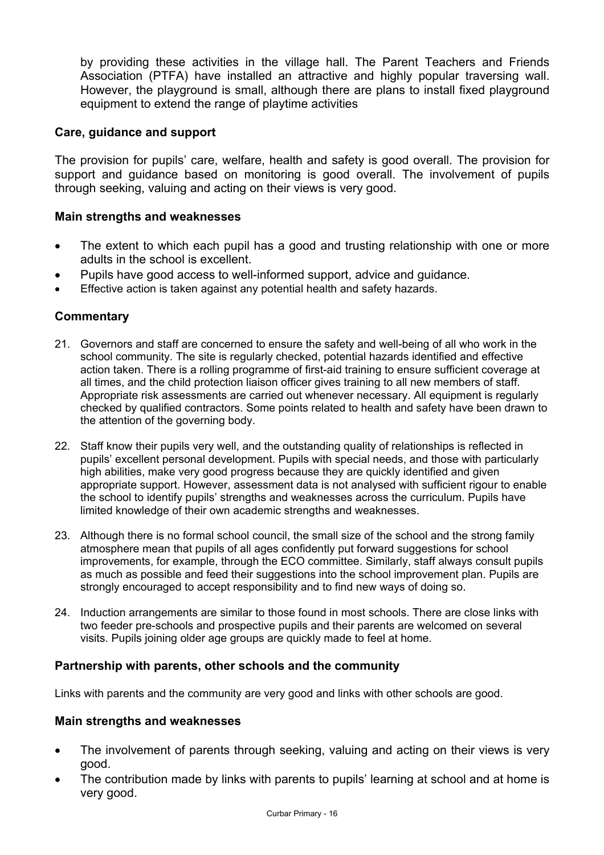by providing these activities in the village hall. The Parent Teachers and Friends Association (PTFA) have installed an attractive and highly popular traversing wall. However, the playground is small, although there are plans to install fixed playground equipment to extend the range of playtime activities

### **Care, guidance and support**

The provision for pupils' care, welfare, health and safety is good overall. The provision for support and guidance based on monitoring is good overall. The involvement of pupils through seeking, valuing and acting on their views is very good.

#### **Main strengths and weaknesses**

- The extent to which each pupil has a good and trusting relationship with one or more adults in the school is excellent.
- Pupils have good access to well-informed support, advice and guidance.
- Effective action is taken against any potential health and safety hazards.

## **Commentary**

- 21. Governors and staff are concerned to ensure the safety and well-being of all who work in the school community. The site is regularly checked, potential hazards identified and effective action taken. There is a rolling programme of first-aid training to ensure sufficient coverage at all times, and the child protection liaison officer gives training to all new members of staff. Appropriate risk assessments are carried out whenever necessary. All equipment is regularly checked by qualified contractors. Some points related to health and safety have been drawn to the attention of the governing body.
- 22. Staff know their pupils very well, and the outstanding quality of relationships is reflected in pupils' excellent personal development. Pupils with special needs, and those with particularly high abilities, make very good progress because they are quickly identified and given appropriate support. However, assessment data is not analysed with sufficient rigour to enable the school to identify pupils' strengths and weaknesses across the curriculum. Pupils have limited knowledge of their own academic strengths and weaknesses.
- 23. Although there is no formal school council, the small size of the school and the strong family atmosphere mean that pupils of all ages confidently put forward suggestions for school improvements, for example, through the ECO committee. Similarly, staff always consult pupils as much as possible and feed their suggestions into the school improvement plan. Pupils are strongly encouraged to accept responsibility and to find new ways of doing so.
- 24. Induction arrangements are similar to those found in most schools. There are close links with two feeder pre-schools and prospective pupils and their parents are welcomed on several visits. Pupils joining older age groups are quickly made to feel at home.

## **Partnership with parents, other schools and the community**

Links with parents and the community are very good and links with other schools are good.

#### **Main strengths and weaknesses**

- The involvement of parents through seeking, valuing and acting on their views is very good.
- The contribution made by links with parents to pupils' learning at school and at home is very good.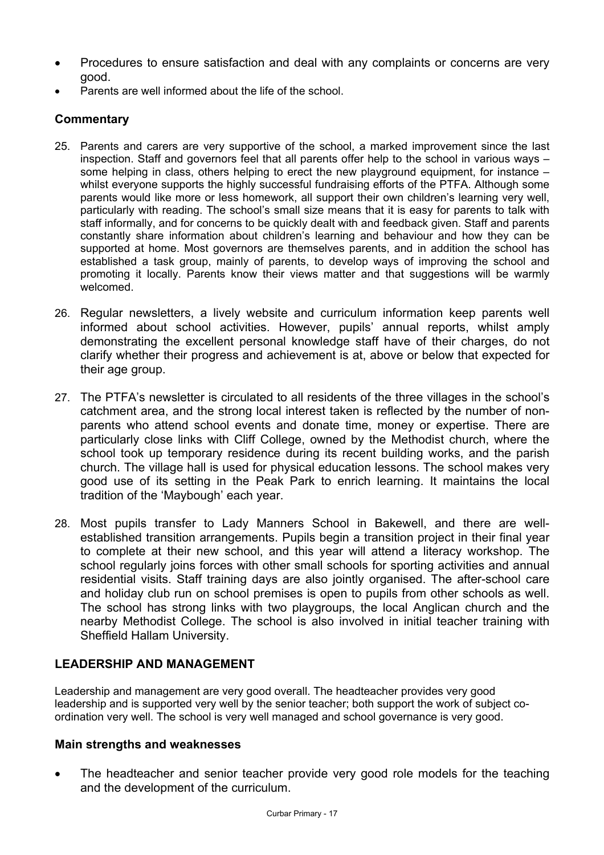- Procedures to ensure satisfaction and deal with any complaints or concerns are very good.
- Parents are well informed about the life of the school.

# **Commentary**

- 25. Parents and carers are very supportive of the school, a marked improvement since the last inspection. Staff and governors feel that all parents offer help to the school in various ways – some helping in class, others helping to erect the new playground equipment, for instance – whilst everyone supports the highly successful fundraising efforts of the PTFA. Although some parents would like more or less homework, all support their own children's learning very well, particularly with reading. The school's small size means that it is easy for parents to talk with staff informally, and for concerns to be quickly dealt with and feedback given. Staff and parents constantly share information about children's learning and behaviour and how they can be supported at home. Most governors are themselves parents, and in addition the school has established a task group, mainly of parents, to develop ways of improving the school and promoting it locally. Parents know their views matter and that suggestions will be warmly welcomed.
- 26. Regular newsletters, a lively website and curriculum information keep parents well informed about school activities. However, pupils' annual reports, whilst amply demonstrating the excellent personal knowledge staff have of their charges, do not clarify whether their progress and achievement is at, above or below that expected for their age group.
- 27. The PTFA's newsletter is circulated to all residents of the three villages in the school's catchment area, and the strong local interest taken is reflected by the number of nonparents who attend school events and donate time, money or expertise. There are particularly close links with Cliff College, owned by the Methodist church, where the school took up temporary residence during its recent building works, and the parish church. The village hall is used for physical education lessons. The school makes very good use of its setting in the Peak Park to enrich learning. It maintains the local tradition of the 'Maybough' each year.
- 28. Most pupils transfer to Lady Manners School in Bakewell, and there are wellestablished transition arrangements. Pupils begin a transition project in their final year to complete at their new school, and this year will attend a literacy workshop. The school regularly joins forces with other small schools for sporting activities and annual residential visits. Staff training days are also jointly organised. The after-school care and holiday club run on school premises is open to pupils from other schools as well. The school has strong links with two playgroups, the local Anglican church and the nearby Methodist College. The school is also involved in initial teacher training with Sheffield Hallam University.

## **LEADERSHIP AND MANAGEMENT**

Leadership and management are very good overall. The headteacher provides very good leadership and is supported very well by the senior teacher; both support the work of subject coordination very well. The school is very well managed and school governance is very good.

## **Main strengths and weaknesses**

The headteacher and senior teacher provide very good role models for the teaching and the development of the curriculum.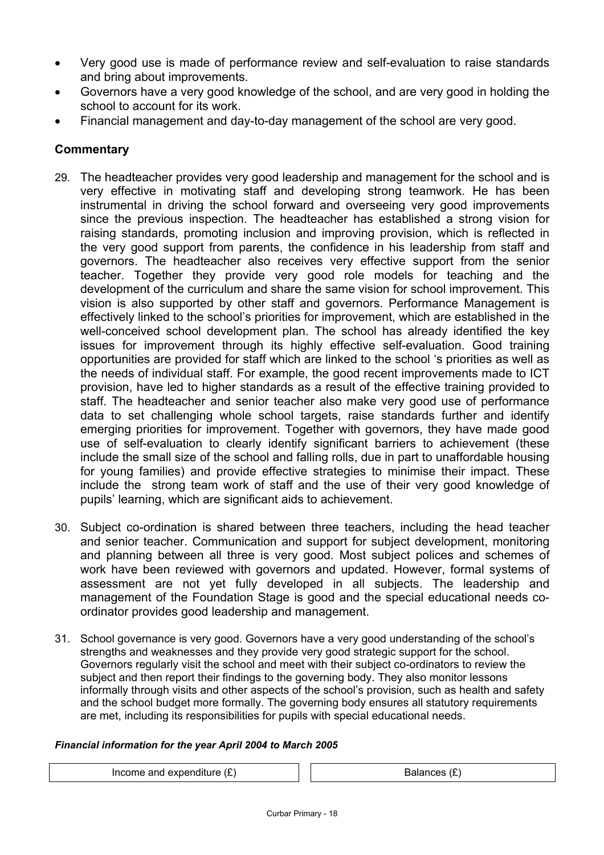- Very good use is made of performance review and self-evaluation to raise standards and bring about improvements.
- Governors have a very good knowledge of the school, and are very good in holding the school to account for its work.
- Financial management and day-to-day management of the school are very good.

## **Commentary**

- 29. The headteacher provides very good leadership and management for the school and is very effective in motivating staff and developing strong teamwork. He has been instrumental in driving the school forward and overseeing very good improvements since the previous inspection. The headteacher has established a strong vision for raising standards, promoting inclusion and improving provision, which is reflected in the very good support from parents, the confidence in his leadership from staff and governors. The headteacher also receives very effective support from the senior teacher. Together they provide very good role models for teaching and the development of the curriculum and share the same vision for school improvement. This vision is also supported by other staff and governors. Performance Management is effectively linked to the school's priorities for improvement, which are established in the well-conceived school development plan. The school has already identified the key issues for improvement through its highly effective self-evaluation. Good training opportunities are provided for staff which are linked to the school 's priorities as well as the needs of individual staff. For example, the good recent improvements made to ICT provision, have led to higher standards as a result of the effective training provided to staff. The headteacher and senior teacher also make very good use of performance data to set challenging whole school targets, raise standards further and identify emerging priorities for improvement. Together with governors, they have made good use of self-evaluation to clearly identify significant barriers to achievement (these include the small size of the school and falling rolls, due in part to unaffordable housing for young families) and provide effective strategies to minimise their impact. These include the strong team work of staff and the use of their very good knowledge of pupils' learning, which are significant aids to achievement.
- 30. Subject co-ordination is shared between three teachers, including the head teacher and senior teacher. Communication and support for subject development, monitoring and planning between all three is very good. Most subject polices and schemes of work have been reviewed with governors and updated. However, formal systems of assessment are not yet fully developed in all subjects. The leadership and management of the Foundation Stage is good and the special educational needs coordinator provides good leadership and management.
- 31. School governance is very good. Governors have a very good understanding of the school's strengths and weaknesses and they provide very good strategic support for the school. Governors regularly visit the school and meet with their subject co-ordinators to review the subject and then report their findings to the governing body. They also monitor lessons informally through visits and other aspects of the school's provision, such as health and safety and the school budget more formally. The governing body ensures all statutory requirements are met, including its responsibilities for pupils with special educational needs.

#### *Financial information for the year April 2004 to March 2005*

Income and expenditure  $(E)$   $\qquad$   $\qquad$  Balances  $(E)$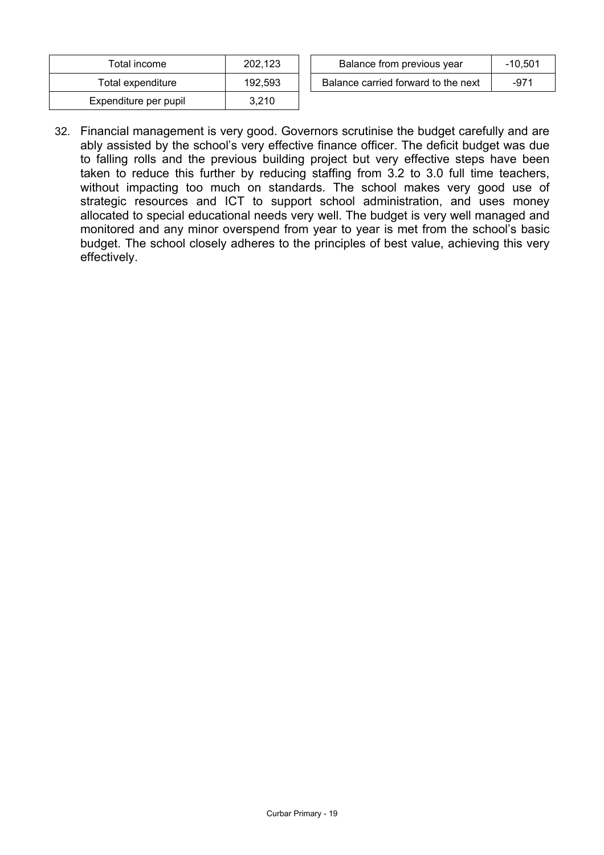| Total income          | 202,123 |
|-----------------------|---------|
| Total expenditure     | 192.593 |
| Expenditure per pupil | 3.210   |

| ™otal income      | 202.123 | Balance from previous year          | -10.501 |
|-------------------|---------|-------------------------------------|---------|
| Total expenditure | 192.593 | Balance carried forward to the next | -971    |

32. Financial management is very good. Governors scrutinise the budget carefully and are ably assisted by the school's very effective finance officer. The deficit budget was due to falling rolls and the previous building project but very effective steps have been taken to reduce this further by reducing staffing from 3.2 to 3.0 full time teachers, without impacting too much on standards. The school makes very good use of strategic resources and ICT to support school administration, and uses money allocated to special educational needs very well. The budget is very well managed and monitored and any minor overspend from year to year is met from the school's basic budget. The school closely adheres to the principles of best value, achieving this very effectively.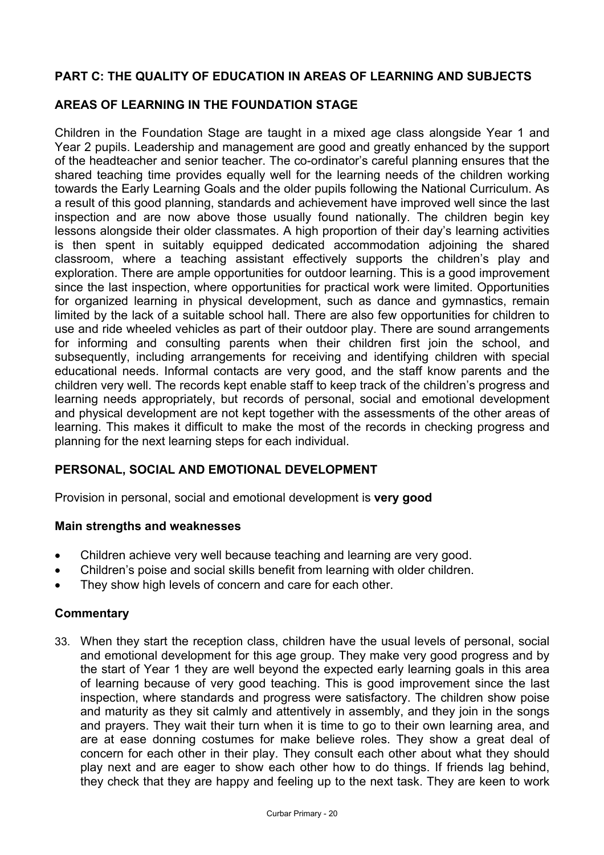# **PART C: THE QUALITY OF EDUCATION IN AREAS OF LEARNING AND SUBJECTS**

## **AREAS OF LEARNING IN THE FOUNDATION STAGE**

Children in the Foundation Stage are taught in a mixed age class alongside Year 1 and Year 2 pupils. Leadership and management are good and greatly enhanced by the support of the headteacher and senior teacher. The co-ordinator's careful planning ensures that the shared teaching time provides equally well for the learning needs of the children working towards the Early Learning Goals and the older pupils following the National Curriculum. As a result of this good planning, standards and achievement have improved well since the last inspection and are now above those usually found nationally. The children begin key lessons alongside their older classmates. A high proportion of their day's learning activities is then spent in suitably equipped dedicated accommodation adjoining the shared classroom, where a teaching assistant effectively supports the children's play and exploration. There are ample opportunities for outdoor learning. This is a good improvement since the last inspection, where opportunities for practical work were limited. Opportunities for organized learning in physical development, such as dance and gymnastics, remain limited by the lack of a suitable school hall. There are also few opportunities for children to use and ride wheeled vehicles as part of their outdoor play. There are sound arrangements for informing and consulting parents when their children first join the school, and subsequently, including arrangements for receiving and identifying children with special educational needs. Informal contacts are very good, and the staff know parents and the children very well. The records kept enable staff to keep track of the children's progress and learning needs appropriately, but records of personal, social and emotional development and physical development are not kept together with the assessments of the other areas of learning. This makes it difficult to make the most of the records in checking progress and planning for the next learning steps for each individual.

## **PERSONAL, SOCIAL AND EMOTIONAL DEVELOPMENT**

Provision in personal, social and emotional development is **very good**

## **Main strengths and weaknesses**

- Children achieve very well because teaching and learning are very good.
- Children's poise and social skills benefit from learning with older children.
- They show high levels of concern and care for each other.

## **Commentary**

33. When they start the reception class, children have the usual levels of personal, social and emotional development for this age group. They make very good progress and by the start of Year 1 they are well beyond the expected early learning goals in this area of learning because of very good teaching. This is good improvement since the last inspection, where standards and progress were satisfactory. The children show poise and maturity as they sit calmly and attentively in assembly, and they join in the songs and prayers. They wait their turn when it is time to go to their own learning area, and are at ease donning costumes for make believe roles. They show a great deal of concern for each other in their play. They consult each other about what they should play next and are eager to show each other how to do things. If friends lag behind, they check that they are happy and feeling up to the next task. They are keen to work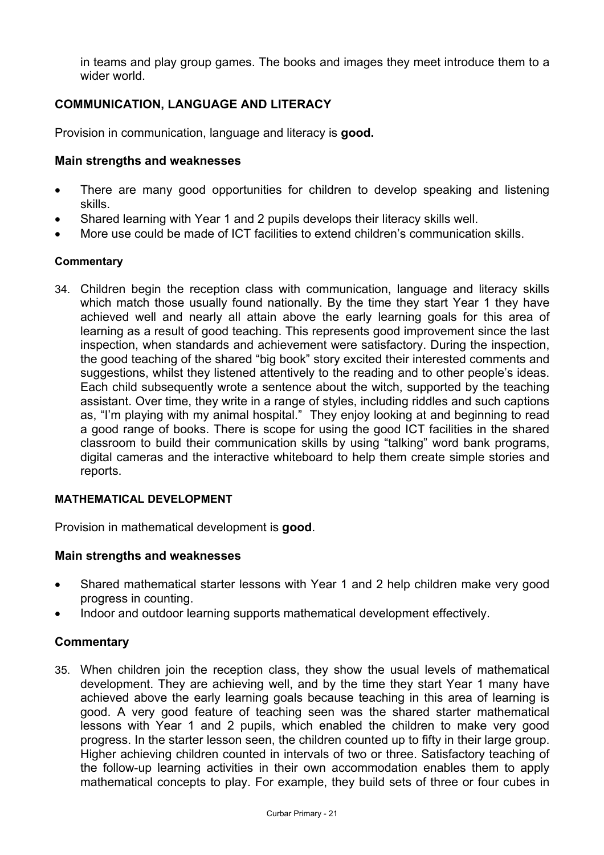in teams and play group games. The books and images they meet introduce them to a wider world.

# **COMMUNICATION, LANGUAGE AND LITERACY**

Provision in communication, language and literacy is **good.**

### **Main strengths and weaknesses**

- There are many good opportunities for children to develop speaking and listening skills.
- Shared learning with Year 1 and 2 pupils develops their literacy skills well.
- More use could be made of ICT facilities to extend children's communication skills.

### **Commentary**

34. Children begin the reception class with communication, language and literacy skills which match those usually found nationally. By the time they start Year 1 they have achieved well and nearly all attain above the early learning goals for this area of learning as a result of good teaching. This represents good improvement since the last inspection, when standards and achievement were satisfactory. During the inspection, the good teaching of the shared "big book" story excited their interested comments and suggestions, whilst they listened attentively to the reading and to other people's ideas. Each child subsequently wrote a sentence about the witch, supported by the teaching assistant. Over time, they write in a range of styles, including riddles and such captions as, "I'm playing with my animal hospital." They enjoy looking at and beginning to read a good range of books. There is scope for using the good ICT facilities in the shared classroom to build their communication skills by using "talking" word bank programs, digital cameras and the interactive whiteboard to help them create simple stories and reports.

#### **MATHEMATICAL DEVELOPMENT**

Provision in mathematical development is **good**.

#### **Main strengths and weaknesses**

- Shared mathematical starter lessons with Year 1 and 2 help children make very good progress in counting.
- Indoor and outdoor learning supports mathematical development effectively.

## **Commentary**

35. When children join the reception class, they show the usual levels of mathematical development. They are achieving well, and by the time they start Year 1 many have achieved above the early learning goals because teaching in this area of learning is good. A very good feature of teaching seen was the shared starter mathematical lessons with Year 1 and 2 pupils, which enabled the children to make very good progress. In the starter lesson seen, the children counted up to fifty in their large group. Higher achieving children counted in intervals of two or three. Satisfactory teaching of the follow-up learning activities in their own accommodation enables them to apply mathematical concepts to play. For example, they build sets of three or four cubes in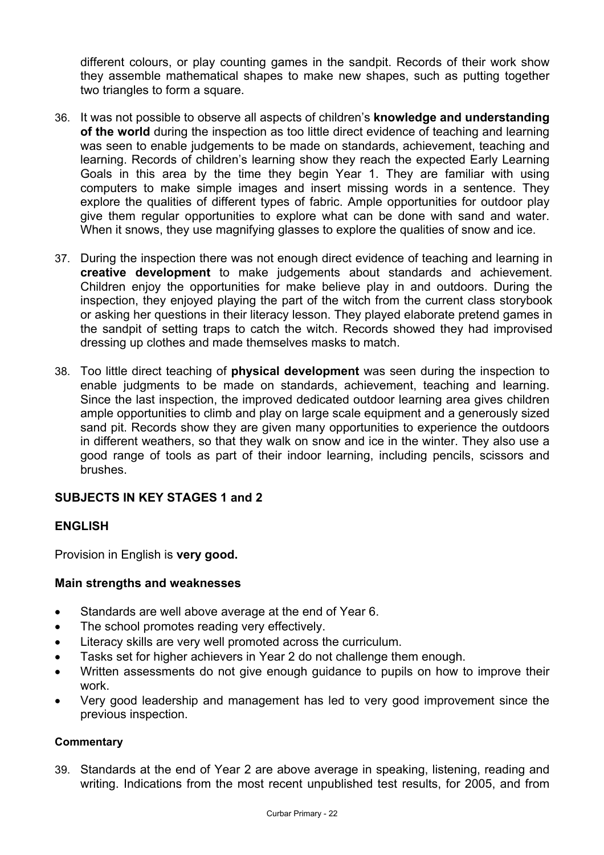different colours, or play counting games in the sandpit. Records of their work show they assemble mathematical shapes to make new shapes, such as putting together two triangles to form a square.

- 36. It was not possible to observe all aspects of children's **knowledge and understanding of the world** during the inspection as too little direct evidence of teaching and learning was seen to enable judgements to be made on standards, achievement, teaching and learning. Records of children's learning show they reach the expected Early Learning Goals in this area by the time they begin Year 1. They are familiar with using computers to make simple images and insert missing words in a sentence. They explore the qualities of different types of fabric. Ample opportunities for outdoor play give them regular opportunities to explore what can be done with sand and water. When it snows, they use magnifying glasses to explore the qualities of snow and ice.
- 37. During the inspection there was not enough direct evidence of teaching and learning in **creative development** to make judgements about standards and achievement. Children enjoy the opportunities for make believe play in and outdoors. During the inspection, they enjoyed playing the part of the witch from the current class storybook or asking her questions in their literacy lesson. They played elaborate pretend games in the sandpit of setting traps to catch the witch. Records showed they had improvised dressing up clothes and made themselves masks to match.
- 38. Too little direct teaching of **physical development** was seen during the inspection to enable judgments to be made on standards, achievement, teaching and learning. Since the last inspection, the improved dedicated outdoor learning area gives children ample opportunities to climb and play on large scale equipment and a generously sized sand pit. Records show they are given many opportunities to experience the outdoors in different weathers, so that they walk on snow and ice in the winter. They also use a good range of tools as part of their indoor learning, including pencils, scissors and brushes.

## **SUBJECTS IN KEY STAGES 1 and 2**

## **ENGLISH**

Provision in English is **very good.**

## **Main strengths and weaknesses**

- Standards are well above average at the end of Year 6.
- The school promotes reading very effectively.
- Literacy skills are very well promoted across the curriculum.
- Tasks set for higher achievers in Year 2 do not challenge them enough.
- Written assessments do not give enough guidance to pupils on how to improve their work.
- Very good leadership and management has led to very good improvement since the previous inspection.

## **Commentary**

39. Standards at the end of Year 2 are above average in speaking, listening, reading and writing. Indications from the most recent unpublished test results, for 2005, and from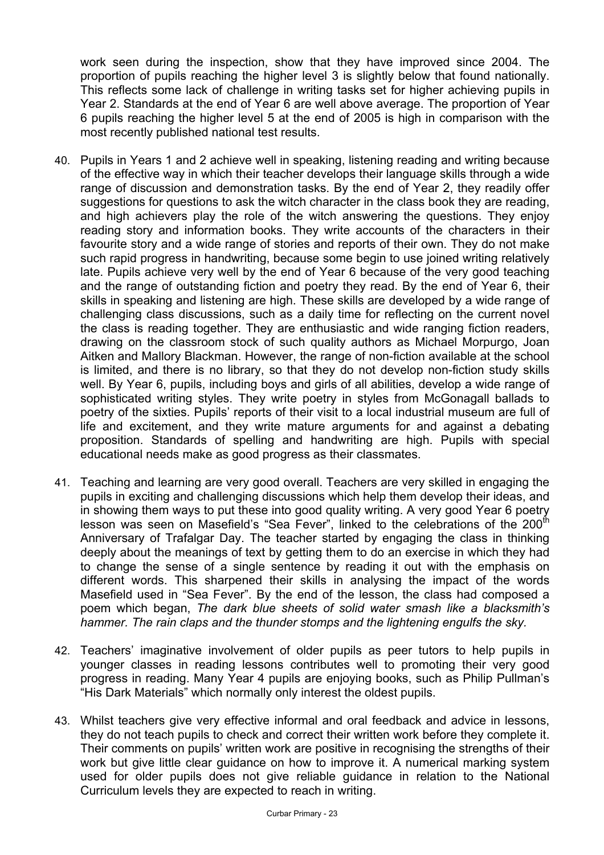work seen during the inspection, show that they have improved since 2004. The proportion of pupils reaching the higher level 3 is slightly below that found nationally. This reflects some lack of challenge in writing tasks set for higher achieving pupils in Year 2. Standards at the end of Year 6 are well above average. The proportion of Year 6 pupils reaching the higher level 5 at the end of 2005 is high in comparison with the most recently published national test results.

- 40. Pupils in Years 1 and 2 achieve well in speaking, listening reading and writing because of the effective way in which their teacher develops their language skills through a wide range of discussion and demonstration tasks. By the end of Year 2, they readily offer suggestions for questions to ask the witch character in the class book they are reading, and high achievers play the role of the witch answering the questions. They enjoy reading story and information books. They write accounts of the characters in their favourite story and a wide range of stories and reports of their own. They do not make such rapid progress in handwriting, because some begin to use joined writing relatively late. Pupils achieve very well by the end of Year 6 because of the very good teaching and the range of outstanding fiction and poetry they read. By the end of Year 6, their skills in speaking and listening are high. These skills are developed by a wide range of challenging class discussions, such as a daily time for reflecting on the current novel the class is reading together. They are enthusiastic and wide ranging fiction readers, drawing on the classroom stock of such quality authors as Michael Morpurgo, Joan Aitken and Mallory Blackman. However, the range of non-fiction available at the school is limited, and there is no library, so that they do not develop non-fiction study skills well. By Year 6, pupils, including boys and girls of all abilities, develop a wide range of sophisticated writing styles. They write poetry in styles from McGonagall ballads to poetry of the sixties. Pupils' reports of their visit to a local industrial museum are full of life and excitement, and they write mature arguments for and against a debating proposition. Standards of spelling and handwriting are high. Pupils with special educational needs make as good progress as their classmates.
- 41. Teaching and learning are very good overall. Teachers are very skilled in engaging the pupils in exciting and challenging discussions which help them develop their ideas, and in showing them ways to put these into good quality writing. A very good Year 6 poetry lesson was seen on Masefield's "Sea Fever", linked to the celebrations of the 200<sup>th</sup> Anniversary of Trafalgar Day. The teacher started by engaging the class in thinking deeply about the meanings of text by getting them to do an exercise in which they had to change the sense of a single sentence by reading it out with the emphasis on different words. This sharpened their skills in analysing the impact of the words Masefield used in "Sea Fever". By the end of the lesson, the class had composed a poem which began, *The dark blue sheets of solid water smash like a blacksmith's hammer. The rain claps and the thunder stomps and the lightening engulfs the sky.*
- 42. Teachers' imaginative involvement of older pupils as peer tutors to help pupils in younger classes in reading lessons contributes well to promoting their very good progress in reading. Many Year 4 pupils are enjoying books, such as Philip Pullman's "His Dark Materials" which normally only interest the oldest pupils.
- 43. Whilst teachers give very effective informal and oral feedback and advice in lessons, they do not teach pupils to check and correct their written work before they complete it. Their comments on pupils' written work are positive in recognising the strengths of their work but give little clear guidance on how to improve it. A numerical marking system used for older pupils does not give reliable guidance in relation to the National Curriculum levels they are expected to reach in writing.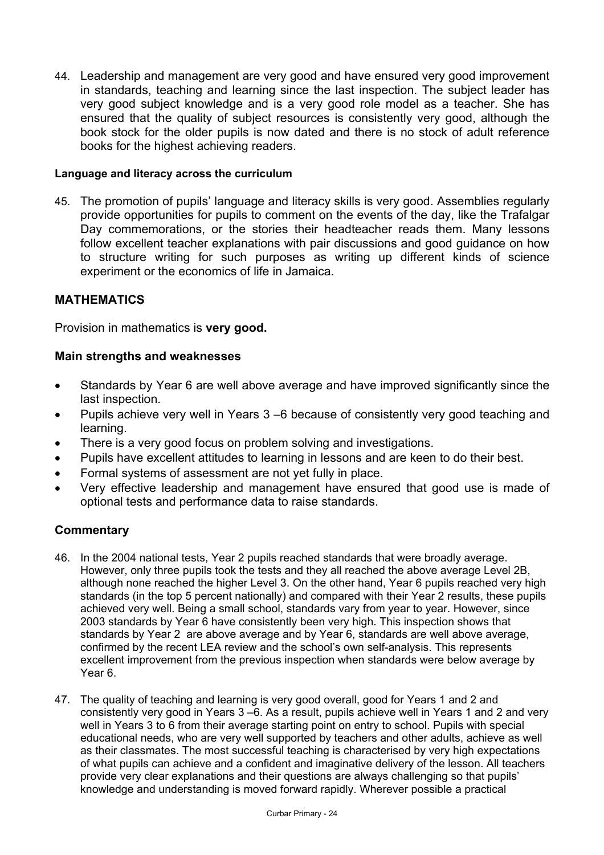44. Leadership and management are very good and have ensured very good improvement in standards, teaching and learning since the last inspection. The subject leader has very good subject knowledge and is a very good role model as a teacher. She has ensured that the quality of subject resources is consistently very good, although the book stock for the older pupils is now dated and there is no stock of adult reference books for the highest achieving readers.

### **Language and literacy across the curriculum**

45. The promotion of pupils' language and literacy skills is very good. Assemblies regularly provide opportunities for pupils to comment on the events of the day, like the Trafalgar Day commemorations, or the stories their headteacher reads them. Many lessons follow excellent teacher explanations with pair discussions and good guidance on how to structure writing for such purposes as writing up different kinds of science experiment or the economics of life in Jamaica.

## **MATHEMATICS**

Provision in mathematics is **very good.**

## **Main strengths and weaknesses**

- Standards by Year 6 are well above average and have improved significantly since the last inspection.
- Pupils achieve very well in Years 3 –6 because of consistently very good teaching and learning.
- There is a very good focus on problem solving and investigations.
- Pupils have excellent attitudes to learning in lessons and are keen to do their best.
- Formal systems of assessment are not yet fully in place.
- Very effective leadership and management have ensured that good use is made of optional tests and performance data to raise standards.

## **Commentary**

- 46. In the 2004 national tests, Year 2 pupils reached standards that were broadly average. However, only three pupils took the tests and they all reached the above average Level 2B, although none reached the higher Level 3. On the other hand, Year 6 pupils reached very high standards (in the top 5 percent nationally) and compared with their Year 2 results, these pupils achieved very well. Being a small school, standards vary from year to year. However, since 2003 standards by Year 6 have consistently been very high. This inspection shows that standards by Year 2 are above average and by Year 6, standards are well above average, confirmed by the recent LEA review and the school's own self-analysis. This represents excellent improvement from the previous inspection when standards were below average by Year 6.
- 47. The quality of teaching and learning is very good overall, good for Years 1 and 2 and consistently very good in Years 3 –6. As a result, pupils achieve well in Years 1 and 2 and very well in Years 3 to 6 from their average starting point on entry to school. Pupils with special educational needs, who are very well supported by teachers and other adults, achieve as well as their classmates. The most successful teaching is characterised by very high expectations of what pupils can achieve and a confident and imaginative delivery of the lesson. All teachers provide very clear explanations and their questions are always challenging so that pupils' knowledge and understanding is moved forward rapidly. Wherever possible a practical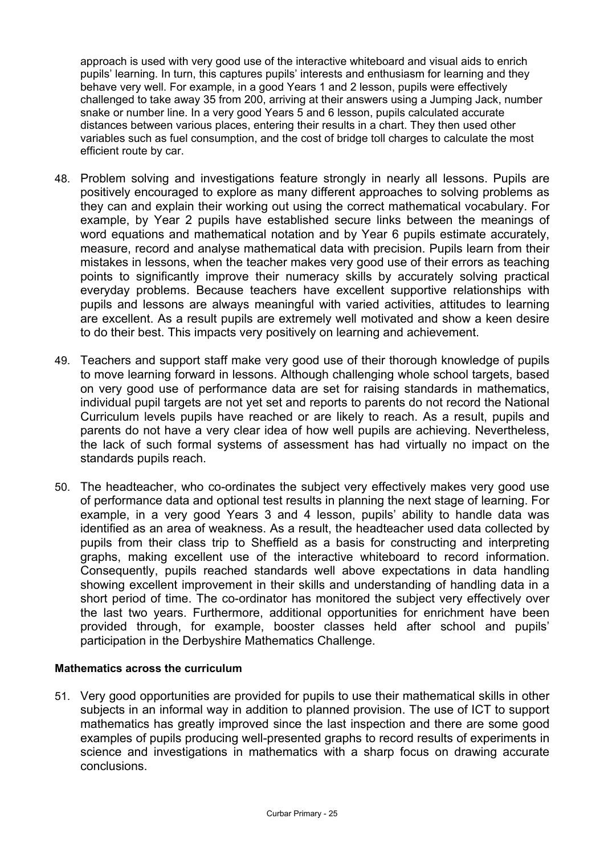approach is used with very good use of the interactive whiteboard and visual aids to enrich pupils' learning. In turn, this captures pupils' interests and enthusiasm for learning and they behave very well. For example, in a good Years 1 and 2 lesson, pupils were effectively challenged to take away 35 from 200, arriving at their answers using a Jumping Jack, number snake or number line. In a very good Years 5 and 6 lesson, pupils calculated accurate distances between various places, entering their results in a chart. They then used other variables such as fuel consumption, and the cost of bridge toll charges to calculate the most efficient route by car.

- 48. Problem solving and investigations feature strongly in nearly all lessons. Pupils are positively encouraged to explore as many different approaches to solving problems as they can and explain their working out using the correct mathematical vocabulary. For example, by Year 2 pupils have established secure links between the meanings of word equations and mathematical notation and by Year 6 pupils estimate accurately, measure, record and analyse mathematical data with precision. Pupils learn from their mistakes in lessons, when the teacher makes very good use of their errors as teaching points to significantly improve their numeracy skills by accurately solving practical everyday problems. Because teachers have excellent supportive relationships with pupils and lessons are always meaningful with varied activities, attitudes to learning are excellent. As a result pupils are extremely well motivated and show a keen desire to do their best. This impacts very positively on learning and achievement.
- 49. Teachers and support staff make very good use of their thorough knowledge of pupils to move learning forward in lessons. Although challenging whole school targets, based on very good use of performance data are set for raising standards in mathematics, individual pupil targets are not yet set and reports to parents do not record the National Curriculum levels pupils have reached or are likely to reach. As a result, pupils and parents do not have a very clear idea of how well pupils are achieving. Nevertheless, the lack of such formal systems of assessment has had virtually no impact on the standards pupils reach.
- 50. The headteacher, who co-ordinates the subject very effectively makes very good use of performance data and optional test results in planning the next stage of learning. For example, in a very good Years 3 and 4 lesson, pupils' ability to handle data was identified as an area of weakness. As a result, the headteacher used data collected by pupils from their class trip to Sheffield as a basis for constructing and interpreting graphs, making excellent use of the interactive whiteboard to record information. Consequently, pupils reached standards well above expectations in data handling showing excellent improvement in their skills and understanding of handling data in a short period of time. The co-ordinator has monitored the subject very effectively over the last two years. Furthermore, additional opportunities for enrichment have been provided through, for example, booster classes held after school and pupils' participation in the Derbyshire Mathematics Challenge.

#### **Mathematics across the curriculum**

51. Very good opportunities are provided for pupils to use their mathematical skills in other subjects in an informal way in addition to planned provision. The use of ICT to support mathematics has greatly improved since the last inspection and there are some good examples of pupils producing well-presented graphs to record results of experiments in science and investigations in mathematics with a sharp focus on drawing accurate conclusions.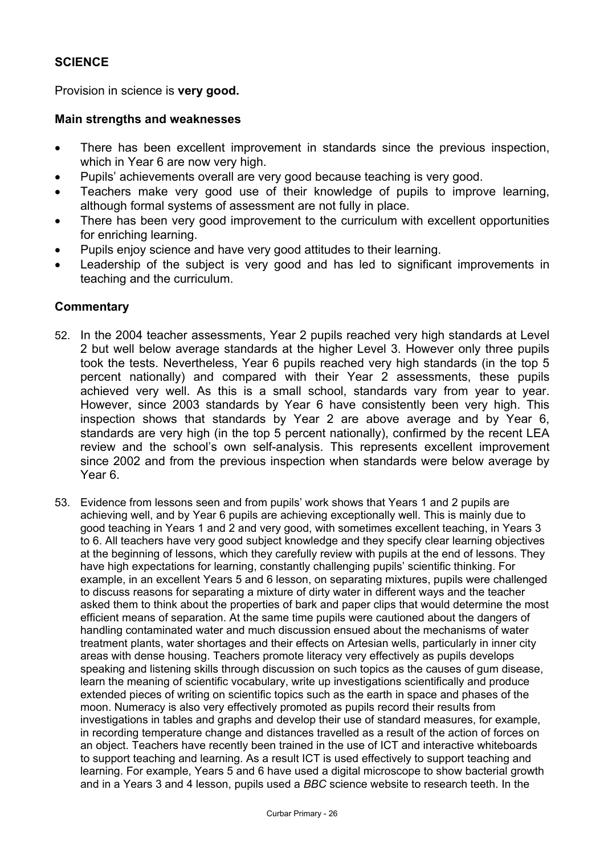## **SCIENCE**

Provision in science is **very good.**

### **Main strengths and weaknesses**

- There has been excellent improvement in standards since the previous inspection, which in Year 6 are now very high.
- Pupils' achievements overall are very good because teaching is very good.
- Teachers make very good use of their knowledge of pupils to improve learning, although formal systems of assessment are not fully in place.
- There has been very good improvement to the curriculum with excellent opportunities for enriching learning.
- Pupils enjoy science and have very good attitudes to their learning.
- Leadership of the subject is very good and has led to significant improvements in teaching and the curriculum.

### **Commentary**

- 52. In the 2004 teacher assessments, Year 2 pupils reached very high standards at Level 2 but well below average standards at the higher Level 3. However only three pupils took the tests. Nevertheless, Year 6 pupils reached very high standards (in the top 5 percent nationally) and compared with their Year 2 assessments, these pupils achieved very well. As this is a small school, standards vary from year to year. However, since 2003 standards by Year 6 have consistently been very high. This inspection shows that standards by Year 2 are above average and by Year 6, standards are very high (in the top 5 percent nationally), confirmed by the recent LEA review and the school's own self-analysis. This represents excellent improvement since 2002 and from the previous inspection when standards were below average by Year 6.
- 53. Evidence from lessons seen and from pupils' work shows that Years 1 and 2 pupils are achieving well, and by Year 6 pupils are achieving exceptionally well. This is mainly due to good teaching in Years 1 and 2 and very good, with sometimes excellent teaching, in Years 3 to 6. All teachers have very good subject knowledge and they specify clear learning objectives at the beginning of lessons, which they carefully review with pupils at the end of lessons. They have high expectations for learning, constantly challenging pupils' scientific thinking. For example, in an excellent Years 5 and 6 lesson, on separating mixtures, pupils were challenged to discuss reasons for separating a mixture of dirty water in different ways and the teacher asked them to think about the properties of bark and paper clips that would determine the most efficient means of separation. At the same time pupils were cautioned about the dangers of handling contaminated water and much discussion ensued about the mechanisms of water treatment plants, water shortages and their effects on Artesian wells, particularly in inner city areas with dense housing. Teachers promote literacy very effectively as pupils develops speaking and listening skills through discussion on such topics as the causes of gum disease, learn the meaning of scientific vocabulary, write up investigations scientifically and produce extended pieces of writing on scientific topics such as the earth in space and phases of the moon. Numeracy is also very effectively promoted as pupils record their results from investigations in tables and graphs and develop their use of standard measures, for example, in recording temperature change and distances travelled as a result of the action of forces on an object. Teachers have recently been trained in the use of ICT and interactive whiteboards to support teaching and learning. As a result ICT is used effectively to support teaching and learning. For example, Years 5 and 6 have used a digital microscope to show bacterial growth and in a Years 3 and 4 lesson, pupils used a *BBC* science website to research teeth. In the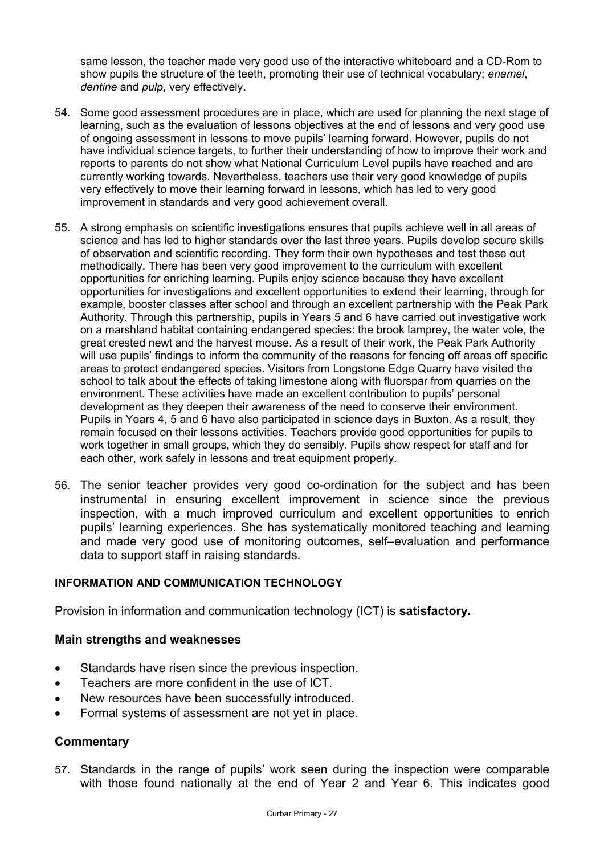same lesson, the teacher made very good use of the interactive whiteboard and a CD-Rom to show pupils the structure of the teeth, promoting their use of technical vocabulary; *enamel*, *dentine* and *pulp*, very effectively.

- 54. Some good assessment procedures are in place, which are used for planning the next stage of learning, such as the evaluation of lessons objectives at the end of lessons and very good use of ongoing assessment in lessons to move pupils' learning forward. However, pupils do not have individual science targets, to further their understanding of how to improve their work and reports to parents do not show what National Curriculum Level pupils have reached and are currently working towards. Nevertheless, teachers use their very good knowledge of pupils very effectively to move their learning forward in lessons, which has led to very good improvement in standards and very good achievement overall.
- 55. A strong emphasis on scientific investigations ensures that pupils achieve well in all areas of science and has led to higher standards over the last three years. Pupils develop secure skills of observation and scientific recording. They form their own hypotheses and test these out methodically. There has been very good improvement to the curriculum with excellent opportunities for enriching learning. Pupils enjoy science because they have excellent opportunities for investigations and excellent opportunities to extend their learning, through for example, booster classes after school and through an excellent partnership with the Peak Park Authority. Through this partnership, pupils in Years 5 and 6 have carried out investigative work on a marshland habitat containing endangered species: the brook lamprey, the water vole, the great crested newt and the harvest mouse. As a result of their work, the Peak Park Authority will use pupils' findings to inform the community of the reasons for fencing off areas off specific areas to protect endangered species. Visitors from Longstone Edge Quarry have visited the school to talk about the effects of taking limestone along with fluorspar from quarries on the environment. These activities have made an excellent contribution to pupils' personal development as they deepen their awareness of the need to conserve their environment. Pupils in Years 4, 5 and 6 have also participated in science days in Buxton. As a result, they remain focused on their lessons activities. Teachers provide good opportunities for pupils to work together in small groups, which they do sensibly. Pupils show respect for staff and for each other, work safely in lessons and treat equipment properly.
- 56. The senior teacher provides very good co-ordination for the subject and has been instrumental in ensuring excellent improvement in science since the previous inspection, with a much improved curriculum and excellent opportunities to enrich pupils' learning experiences. She has systematically monitored teaching and learning and made very good use of monitoring outcomes, self–evaluation and performance data to support staff in raising standards.

## **INFORMATION AND COMMUNICATION TECHNOLOGY**

Provision in information and communication technology (ICT) is **satisfactory.**

### **Main strengths and weaknesses**

- Standards have risen since the previous inspection.
- Teachers are more confident in the use of ICT.
- New resources have been successfully introduced.
- Formal systems of assessment are not yet in place.

## **Commentary**

57. Standards in the range of pupils' work seen during the inspection were comparable with those found nationally at the end of Year 2 and Year 6. This indicates good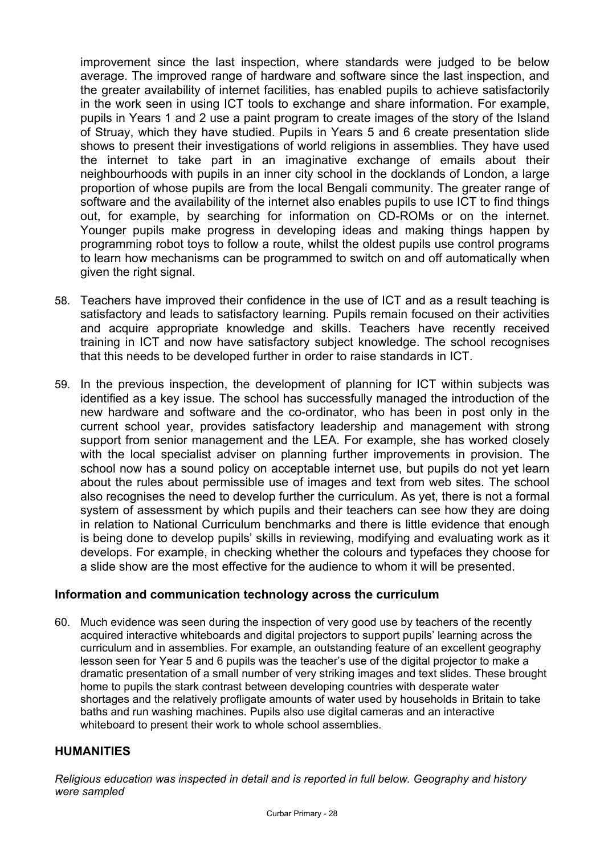improvement since the last inspection, where standards were judged to be below average. The improved range of hardware and software since the last inspection, and the greater availability of internet facilities, has enabled pupils to achieve satisfactorily in the work seen in using ICT tools to exchange and share information. For example, pupils in Years 1 and 2 use a paint program to create images of the story of the Island of Struay, which they have studied. Pupils in Years 5 and 6 create presentation slide shows to present their investigations of world religions in assemblies. They have used the internet to take part in an imaginative exchange of emails about their neighbourhoods with pupils in an inner city school in the docklands of London, a large proportion of whose pupils are from the local Bengali community. The greater range of software and the availability of the internet also enables pupils to use ICT to find things out, for example, by searching for information on CD-ROMs or on the internet. Younger pupils make progress in developing ideas and making things happen by programming robot toys to follow a route, whilst the oldest pupils use control programs to learn how mechanisms can be programmed to switch on and off automatically when given the right signal.

- 58. Teachers have improved their confidence in the use of ICT and as a result teaching is satisfactory and leads to satisfactory learning. Pupils remain focused on their activities and acquire appropriate knowledge and skills. Teachers have recently received training in ICT and now have satisfactory subject knowledge. The school recognises that this needs to be developed further in order to raise standards in ICT.
- 59. In the previous inspection, the development of planning for ICT within subjects was identified as a key issue. The school has successfully managed the introduction of the new hardware and software and the co-ordinator, who has been in post only in the current school year, provides satisfactory leadership and management with strong support from senior management and the LEA. For example, she has worked closely with the local specialist adviser on planning further improvements in provision. The school now has a sound policy on acceptable internet use, but pupils do not yet learn about the rules about permissible use of images and text from web sites. The school also recognises the need to develop further the curriculum. As yet, there is not a formal system of assessment by which pupils and their teachers can see how they are doing in relation to National Curriculum benchmarks and there is little evidence that enough is being done to develop pupils' skills in reviewing, modifying and evaluating work as it develops. For example, in checking whether the colours and typefaces they choose for a slide show are the most effective for the audience to whom it will be presented.

## **Information and communication technology across the curriculum**

60. Much evidence was seen during the inspection of very good use by teachers of the recently acquired interactive whiteboards and digital projectors to support pupils' learning across the curriculum and in assemblies. For example, an outstanding feature of an excellent geography lesson seen for Year 5 and 6 pupils was the teacher's use of the digital projector to make a dramatic presentation of a small number of very striking images and text slides. These brought home to pupils the stark contrast between developing countries with desperate water shortages and the relatively profligate amounts of water used by households in Britain to take baths and run washing machines. Pupils also use digital cameras and an interactive whiteboard to present their work to whole school assemblies.

## **HUMANITIES**

*Religious education was inspected in detail and is reported in full below. Geography and history were sampled*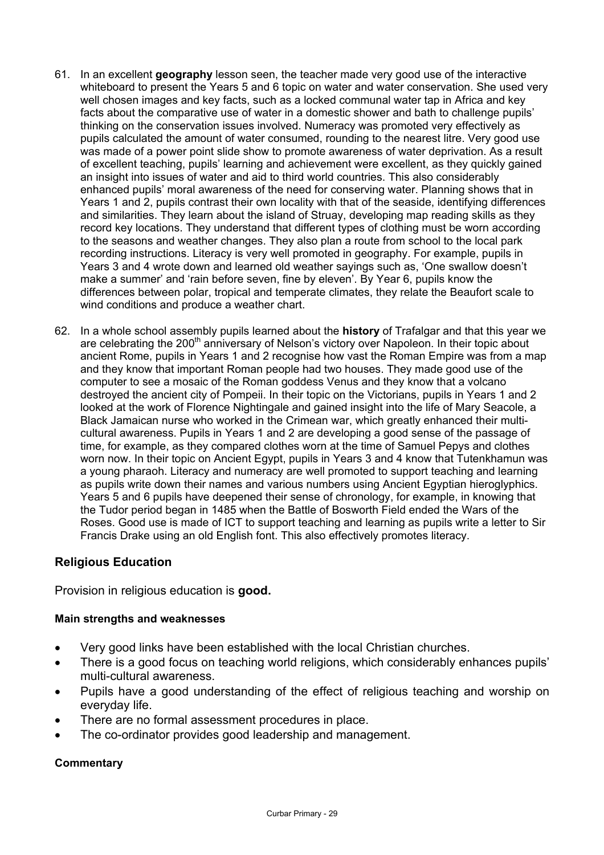- 61. In an excellent **geography** lesson seen, the teacher made very good use of the interactive whiteboard to present the Years 5 and 6 topic on water and water conservation. She used very well chosen images and key facts, such as a locked communal water tap in Africa and key facts about the comparative use of water in a domestic shower and bath to challenge pupils' thinking on the conservation issues involved. Numeracy was promoted very effectively as pupils calculated the amount of water consumed, rounding to the nearest litre. Very good use was made of a power point slide show to promote awareness of water deprivation. As a result of excellent teaching, pupils' learning and achievement were excellent, as they quickly gained an insight into issues of water and aid to third world countries. This also considerably enhanced pupils' moral awareness of the need for conserving water. Planning shows that in Years 1 and 2, pupils contrast their own locality with that of the seaside, identifying differences and similarities. They learn about the island of Struay, developing map reading skills as they record key locations. They understand that different types of clothing must be worn according to the seasons and weather changes. They also plan a route from school to the local park recording instructions. Literacy is very well promoted in geography. For example, pupils in Years 3 and 4 wrote down and learned old weather sayings such as, 'One swallow doesn't make a summer' and 'rain before seven, fine by eleven'. By Year 6, pupils know the differences between polar, tropical and temperate climates, they relate the Beaufort scale to wind conditions and produce a weather chart.
- 62. In a whole school assembly pupils learned about the **history** of Trafalgar and that this year we are celebrating the 200<sup>th</sup> anniversary of Nelson's victory over Napoleon. In their topic about ancient Rome, pupils in Years 1 and 2 recognise how vast the Roman Empire was from a map and they know that important Roman people had two houses. They made good use of the computer to see a mosaic of the Roman goddess Venus and they know that a volcano destroyed the ancient city of Pompeii. In their topic on the Victorians, pupils in Years 1 and 2 looked at the work of Florence Nightingale and gained insight into the life of Mary Seacole, a Black Jamaican nurse who worked in the Crimean war, which greatly enhanced their multicultural awareness. Pupils in Years 1 and 2 are developing a good sense of the passage of time, for example, as they compared clothes worn at the time of Samuel Pepys and clothes worn now. In their topic on Ancient Egypt, pupils in Years 3 and 4 know that Tutenkhamun was a young pharaoh. Literacy and numeracy are well promoted to support teaching and learning as pupils write down their names and various numbers using Ancient Egyptian hieroglyphics. Years 5 and 6 pupils have deepened their sense of chronology, for example, in knowing that the Tudor period began in 1485 when the Battle of Bosworth Field ended the Wars of the Roses. Good use is made of ICT to support teaching and learning as pupils write a letter to Sir Francis Drake using an old English font. This also effectively promotes literacy.

## **Religious Education**

Provision in religious education is **good.** 

#### **Main strengths and weaknesses**

- Very good links have been established with the local Christian churches.
- There is a good focus on teaching world religions, which considerably enhances pupils' multi-cultural awareness.
- Pupils have a good understanding of the effect of religious teaching and worship on everyday life.
- There are no formal assessment procedures in place.
- The co-ordinator provides good leadership and management.

#### **Commentary**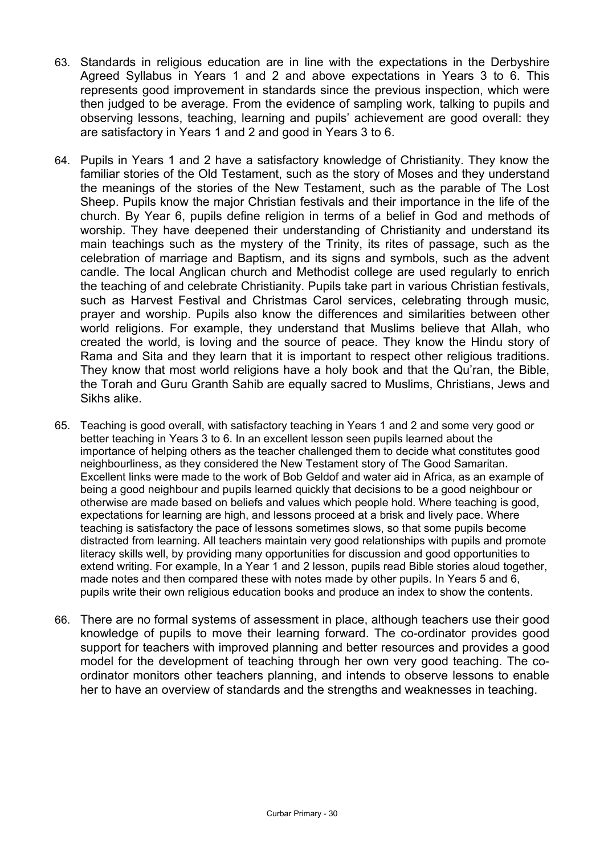- 63. Standards in religious education are in line with the expectations in the Derbyshire Agreed Syllabus in Years 1 and 2 and above expectations in Years 3 to 6. This represents good improvement in standards since the previous inspection, which were then judged to be average. From the evidence of sampling work, talking to pupils and observing lessons, teaching, learning and pupils' achievement are good overall: they are satisfactory in Years 1 and 2 and good in Years 3 to 6.
- 64. Pupils in Years 1 and 2 have a satisfactory knowledge of Christianity. They know the familiar stories of the Old Testament, such as the story of Moses and they understand the meanings of the stories of the New Testament, such as the parable of The Lost Sheep. Pupils know the major Christian festivals and their importance in the life of the church. By Year 6, pupils define religion in terms of a belief in God and methods of worship. They have deepened their understanding of Christianity and understand its main teachings such as the mystery of the Trinity, its rites of passage, such as the celebration of marriage and Baptism, and its signs and symbols, such as the advent candle. The local Anglican church and Methodist college are used regularly to enrich the teaching of and celebrate Christianity. Pupils take part in various Christian festivals, such as Harvest Festival and Christmas Carol services, celebrating through music, prayer and worship. Pupils also know the differences and similarities between other world religions. For example, they understand that Muslims believe that Allah, who created the world, is loving and the source of peace. They know the Hindu story of Rama and Sita and they learn that it is important to respect other religious traditions. They know that most world religions have a holy book and that the Qu'ran, the Bible, the Torah and Guru Granth Sahib are equally sacred to Muslims, Christians, Jews and Sikhs alike.
- 65. Teaching is good overall, with satisfactory teaching in Years 1 and 2 and some very good or better teaching in Years 3 to 6. In an excellent lesson seen pupils learned about the importance of helping others as the teacher challenged them to decide what constitutes good neighbourliness, as they considered the New Testament story of The Good Samaritan. Excellent links were made to the work of Bob Geldof and water aid in Africa, as an example of being a good neighbour and pupils learned quickly that decisions to be a good neighbour or otherwise are made based on beliefs and values which people hold. Where teaching is good, expectations for learning are high, and lessons proceed at a brisk and lively pace. Where teaching is satisfactory the pace of lessons sometimes slows, so that some pupils become distracted from learning. All teachers maintain very good relationships with pupils and promote literacy skills well, by providing many opportunities for discussion and good opportunities to extend writing. For example, In a Year 1 and 2 lesson, pupils read Bible stories aloud together, made notes and then compared these with notes made by other pupils. In Years 5 and 6, pupils write their own religious education books and produce an index to show the contents.
- 66. There are no formal systems of assessment in place, although teachers use their good knowledge of pupils to move their learning forward. The co-ordinator provides good support for teachers with improved planning and better resources and provides a good model for the development of teaching through her own very good teaching. The coordinator monitors other teachers planning, and intends to observe lessons to enable her to have an overview of standards and the strengths and weaknesses in teaching.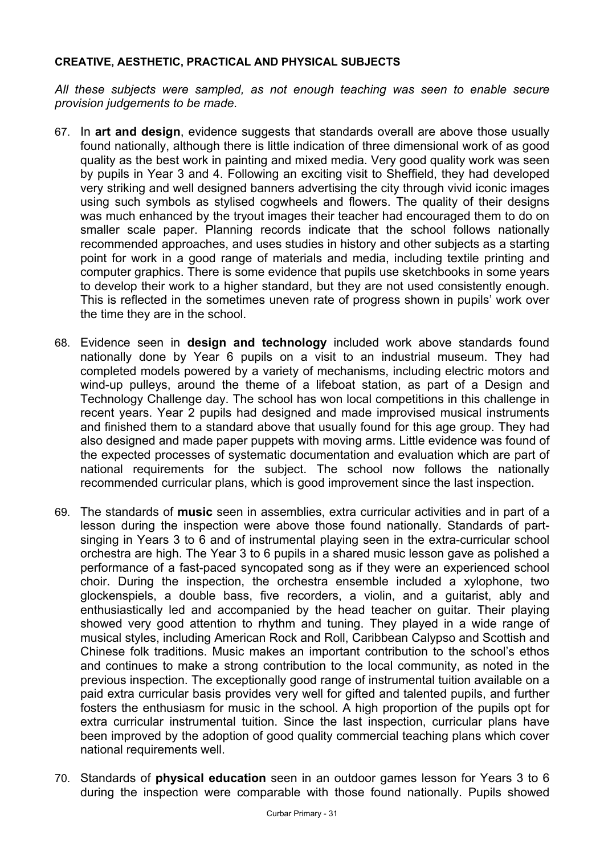### **CREATIVE, AESTHETIC, PRACTICAL AND PHYSICAL SUBJECTS**

*All these subjects were sampled, as not enough teaching was seen to enable secure provision judgements to be made.* 

- 67. In **art and design**, evidence suggests that standards overall are above those usually found nationally, although there is little indication of three dimensional work of as good quality as the best work in painting and mixed media. Very good quality work was seen by pupils in Year 3 and 4. Following an exciting visit to Sheffield, they had developed very striking and well designed banners advertising the city through vivid iconic images using such symbols as stylised cogwheels and flowers. The quality of their designs was much enhanced by the tryout images their teacher had encouraged them to do on smaller scale paper. Planning records indicate that the school follows nationally recommended approaches, and uses studies in history and other subjects as a starting point for work in a good range of materials and media, including textile printing and computer graphics. There is some evidence that pupils use sketchbooks in some years to develop their work to a higher standard, but they are not used consistently enough. This is reflected in the sometimes uneven rate of progress shown in pupils' work over the time they are in the school.
- 68. Evidence seen in **design and technology** included work above standards found nationally done by Year 6 pupils on a visit to an industrial museum. They had completed models powered by a variety of mechanisms, including electric motors and wind-up pulleys, around the theme of a lifeboat station, as part of a Design and Technology Challenge day. The school has won local competitions in this challenge in recent years. Year 2 pupils had designed and made improvised musical instruments and finished them to a standard above that usually found for this age group. They had also designed and made paper puppets with moving arms. Little evidence was found of the expected processes of systematic documentation and evaluation which are part of national requirements for the subject. The school now follows the nationally recommended curricular plans, which is good improvement since the last inspection.
- 69. The standards of **music** seen in assemblies, extra curricular activities and in part of a lesson during the inspection were above those found nationally. Standards of partsinging in Years 3 to 6 and of instrumental playing seen in the extra-curricular school orchestra are high. The Year 3 to 6 pupils in a shared music lesson gave as polished a performance of a fast-paced syncopated song as if they were an experienced school choir. During the inspection, the orchestra ensemble included a xylophone, two glockenspiels, a double bass, five recorders, a violin, and a guitarist, ably and enthusiastically led and accompanied by the head teacher on guitar. Their playing showed very good attention to rhythm and tuning. They played in a wide range of musical styles, including American Rock and Roll, Caribbean Calypso and Scottish and Chinese folk traditions. Music makes an important contribution to the school's ethos and continues to make a strong contribution to the local community, as noted in the previous inspection. The exceptionally good range of instrumental tuition available on a paid extra curricular basis provides very well for gifted and talented pupils, and further fosters the enthusiasm for music in the school. A high proportion of the pupils opt for extra curricular instrumental tuition. Since the last inspection, curricular plans have been improved by the adoption of good quality commercial teaching plans which cover national requirements well.
- 70. Standards of **physical education** seen in an outdoor games lesson for Years 3 to 6 during the inspection were comparable with those found nationally. Pupils showed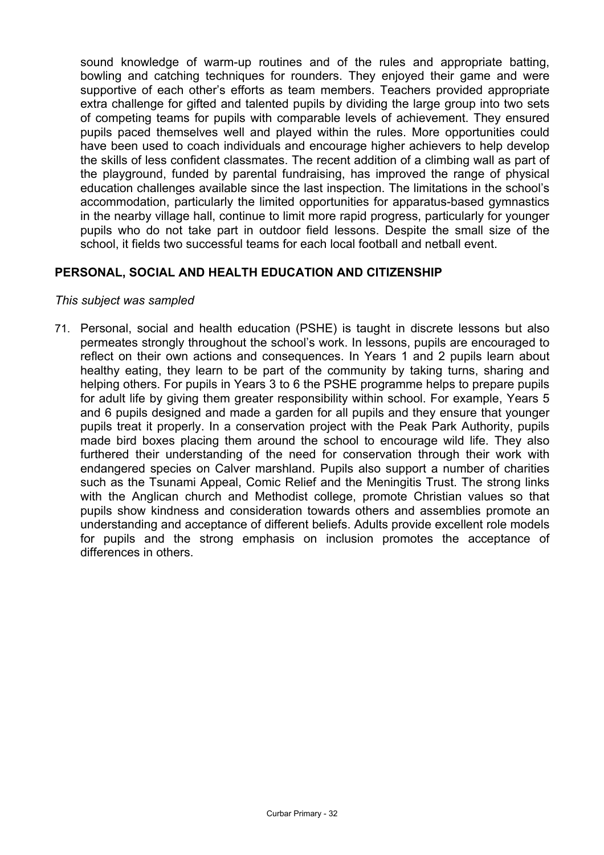sound knowledge of warm-up routines and of the rules and appropriate batting, bowling and catching techniques for rounders. They enjoyed their game and were supportive of each other's efforts as team members. Teachers provided appropriate extra challenge for gifted and talented pupils by dividing the large group into two sets of competing teams for pupils with comparable levels of achievement. They ensured pupils paced themselves well and played within the rules. More opportunities could have been used to coach individuals and encourage higher achievers to help develop the skills of less confident classmates. The recent addition of a climbing wall as part of the playground, funded by parental fundraising, has improved the range of physical education challenges available since the last inspection. The limitations in the school's accommodation, particularly the limited opportunities for apparatus-based gymnastics in the nearby village hall, continue to limit more rapid progress, particularly for younger pupils who do not take part in outdoor field lessons. Despite the small size of the school, it fields two successful teams for each local football and netball event.

## **PERSONAL, SOCIAL AND HEALTH EDUCATION AND CITIZENSHIP**

#### *This subject was sampled*

71. Personal, social and health education (PSHE) is taught in discrete lessons but also permeates strongly throughout the school's work. In lessons, pupils are encouraged to reflect on their own actions and consequences. In Years 1 and 2 pupils learn about healthy eating, they learn to be part of the community by taking turns, sharing and helping others. For pupils in Years 3 to 6 the PSHE programme helps to prepare pupils for adult life by giving them greater responsibility within school. For example, Years 5 and 6 pupils designed and made a garden for all pupils and they ensure that younger pupils treat it properly. In a conservation project with the Peak Park Authority, pupils made bird boxes placing them around the school to encourage wild life. They also furthered their understanding of the need for conservation through their work with endangered species on Calver marshland. Pupils also support a number of charities such as the Tsunami Appeal, Comic Relief and the Meningitis Trust. The strong links with the Anglican church and Methodist college, promote Christian values so that pupils show kindness and consideration towards others and assemblies promote an understanding and acceptance of different beliefs. Adults provide excellent role models for pupils and the strong emphasis on inclusion promotes the acceptance of differences in others.